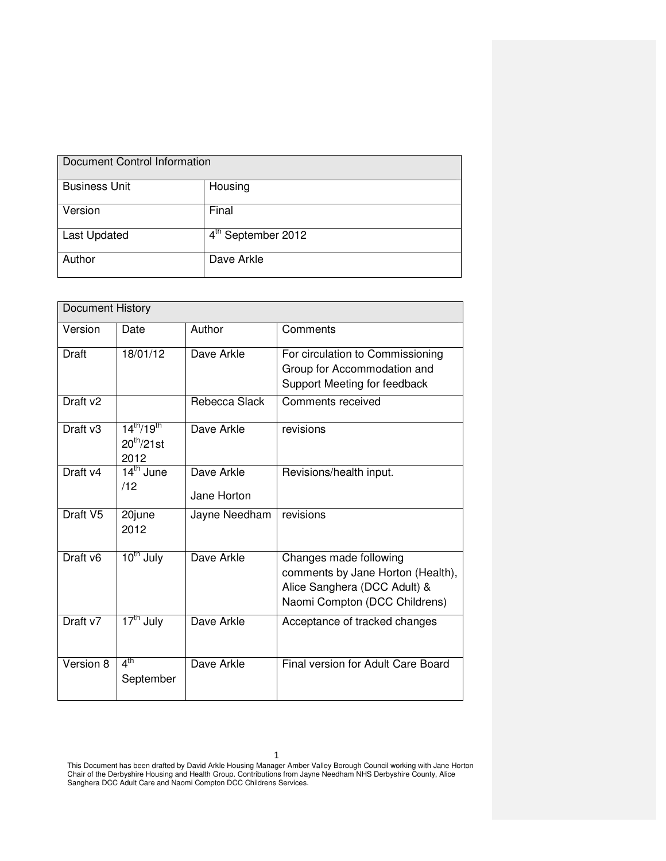| Document Control Information |                                |
|------------------------------|--------------------------------|
| <b>Business Unit</b>         | Housing                        |
| Version                      | Final                          |
| <b>Last Updated</b>          | 4 <sup>th</sup> September 2012 |
| Author                       | Dave Arkle                     |

| Document History     |                                             |                           |                                                                                                                              |
|----------------------|---------------------------------------------|---------------------------|------------------------------------------------------------------------------------------------------------------------------|
| Version              | Date                                        | Author                    | Comments                                                                                                                     |
| Draft                | 18/01/12                                    | Dave Arkle                | For circulation to Commissioning<br>Group for Accommodation and<br>Support Meeting for feedback                              |
| Draft v <sub>2</sub> |                                             | Rebecca Slack             | Comments received                                                                                                            |
| Draft v3             | $14^{th}/19^{th}$<br>$20^{th}/21st$<br>2012 | Dave Arkle                | revisions                                                                                                                    |
| Draft v4             | 14 <sup>th</sup> June<br>/12                | Dave Arkle<br>Jane Horton | Revisions/health input.                                                                                                      |
| Draft V5             | 20june<br>2012                              | Jayne Needham             | revisions                                                                                                                    |
| Draft v6             | $10^{th}$ July                              | Dave Arkle                | Changes made following<br>comments by Jane Horton (Health),<br>Alice Sanghera (DCC Adult) &<br>Naomi Compton (DCC Childrens) |
| Draft v7             | 17 <sup>th</sup> July                       | Dave Arkle                | Acceptance of tracked changes                                                                                                |
| Version 8            | $4^{\text{th}}$<br>September                | Dave Arkle                | Final version for Adult Care Board                                                                                           |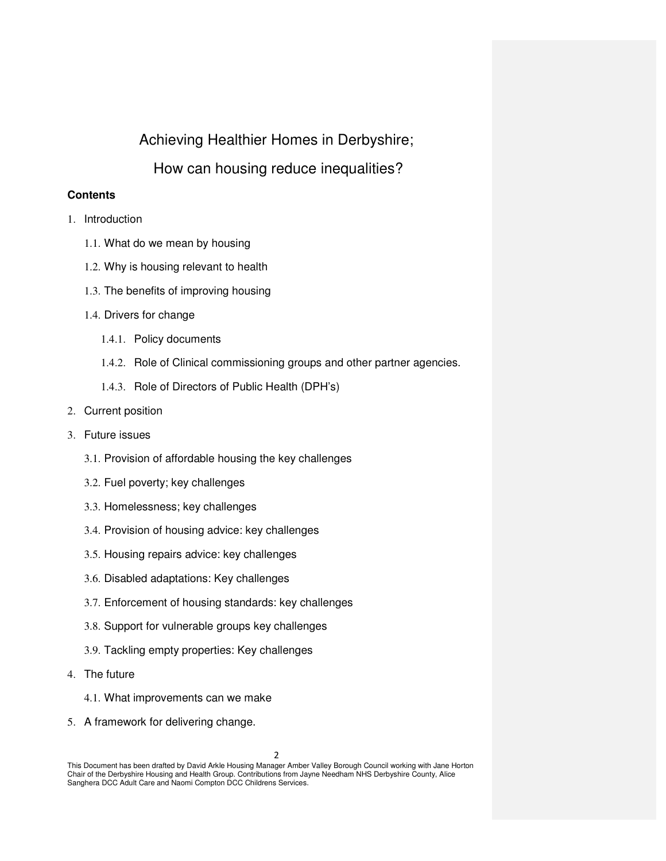# Achieving Healthier Homes in Derbyshire;

# How can housing reduce inequalities?

## **Contents**

- 1. Introduction
	- 1.1. What do we mean by housing
	- 1.2. Why is housing relevant to health
	- 1.3. The benefits of improving housing
	- 1.4. Drivers for change
		- 1.4.1. Policy documents
		- 1.4.2. Role of Clinical commissioning groups and other partner agencies.
		- 1.4.3. Role of Directors of Public Health (DPH's)
- 2. Current position
- 3. Future issues
	- 3.1. Provision of affordable housing the key challenges
	- 3.2. Fuel poverty; key challenges
	- 3.3. Homelessness; key challenges
	- 3.4. Provision of housing advice: key challenges
	- 3.5. Housing repairs advice: key challenges
	- 3.6. Disabled adaptations: Key challenges
	- 3.7. Enforcement of housing standards: key challenges
	- 3.8. Support for vulnerable groups key challenges
	- 3.9. Tackling empty properties: Key challenges
- 4. The future
	- 4.1. What improvements can we make
- 5. A framework for delivering change.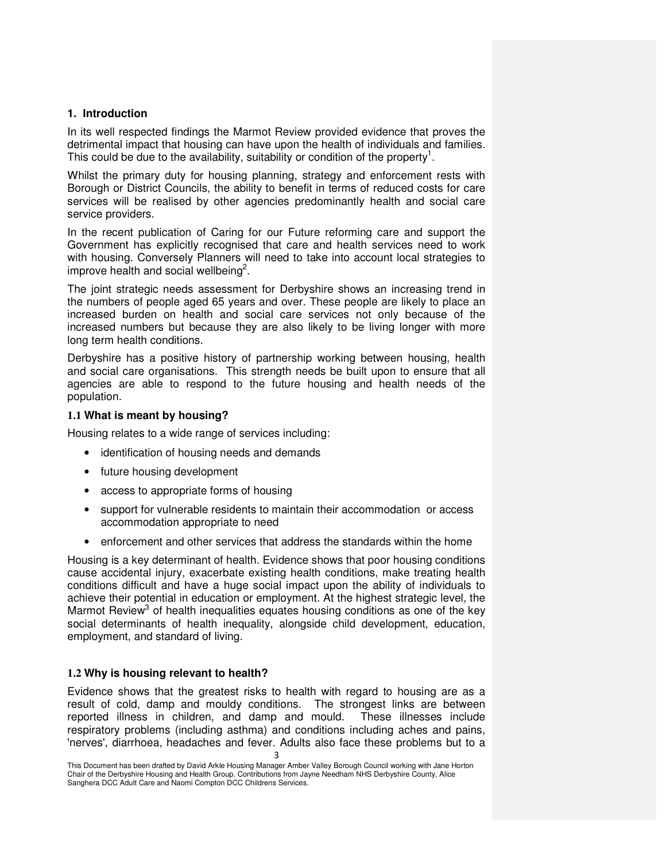### **1. Introduction**

In its well respected findings the Marmot Review provided evidence that proves the detrimental impact that housing can have upon the health of individuals and families. This could be due to the availability, suitability or condition of the property<sup>1</sup>.

Whilst the primary duty for housing planning, strategy and enforcement rests with Borough or District Councils, the ability to benefit in terms of reduced costs for care services will be realised by other agencies predominantly health and social care service providers.

In the recent publication of Caring for our Future reforming care and support the Government has explicitly recognised that care and health services need to work with housing. Conversely Planners will need to take into account local strategies to improve health and social wellbeing<sup>2</sup>.

The joint strategic needs assessment for Derbyshire shows an increasing trend in the numbers of people aged 65 years and over. These people are likely to place an increased burden on health and social care services not only because of the increased numbers but because they are also likely to be living longer with more long term health conditions.

Derbyshire has a positive history of partnership working between housing, health and social care organisations. This strength needs be built upon to ensure that all agencies are able to respond to the future housing and health needs of the population.

#### **1.1 What is meant by housing?**

Housing relates to a wide range of services including:

- identification of housing needs and demands
- future housing development
- access to appropriate forms of housing
- support for vulnerable residents to maintain their accommodation or access accommodation appropriate to need
- enforcement and other services that address the standards within the home

Housing is a key determinant of health. Evidence shows that poor housing conditions cause accidental injury, exacerbate existing health conditions, make treating health conditions difficult and have a huge social impact upon the ability of individuals to achieve their potential in education or employment. At the highest strategic level, the Marmot Review<sup>3</sup> of health inequalities equates housing conditions as one of the key social determinants of health inequality, alongside child development, education, employment, and standard of living.

#### **1.2 Why is housing relevant to health?**

Evidence shows that the greatest risks to health with regard to housing are as a result of cold, damp and mouldy conditions. The strongest links are between reported illness in children, and damp and mould. These illnesses include respiratory problems (including asthma) and conditions including aches and pains, 'nerves', diarrhoea, headaches and fever. Adults also face these problems but to a

3

This Document has been drafted by David Arkle Housing Manager Amber Valley Borough Council working with Jane Horton Chair of the Derbyshire Housing and Health Group. Contributions from Jayne Needham NHS Derbyshire County, Alice Sanghera DCC Adult Care and Naomi Compton DCC Childrens Services.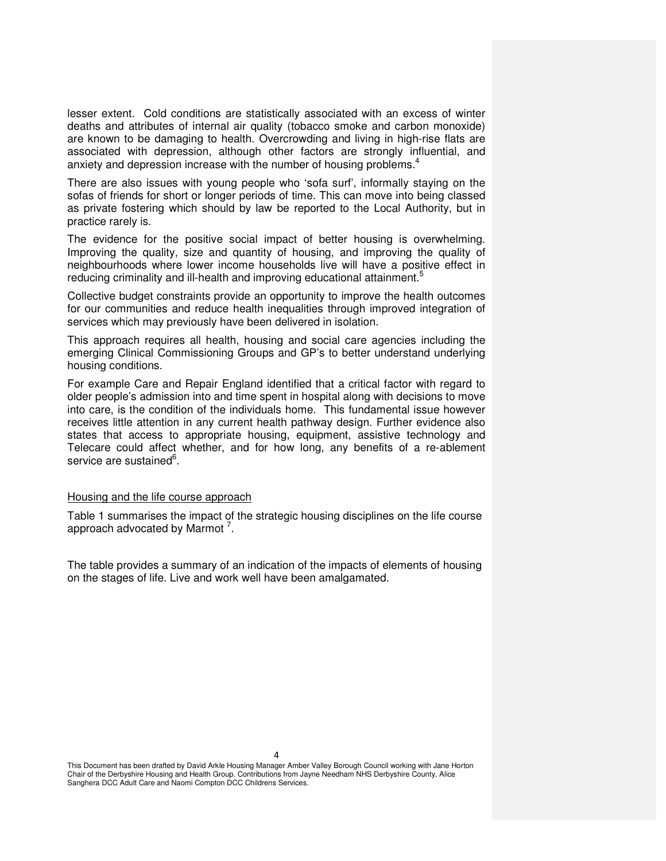lesser extent. Cold conditions are statistically associated with an excess of winter deaths and attributes of internal air quality (tobacco smoke and carbon monoxide) are known to be damaging to health. Overcrowding and living in high-rise flats are associated with depression, although other factors are strongly influential, and anxiety and depression increase with the number of housing problems. $4$ 

There are also issues with young people who 'sofa surf', informally staying on the sofas of friends for short or longer periods of time. This can move into being classed as private fostering which should by law be reported to the Local Authority, but in practice rarely is.

The evidence for the positive social impact of better housing is overwhelming. Improving the quality, size and quantity of housing, and improving the quality of neighbourhoods where lower income households live will have a positive effect in reducing criminality and ill-health and improving educational attainment.<sup>5</sup>

Collective budget constraints provide an opportunity to improve the health outcomes for our communities and reduce health inequalities through improved integration of services which may previously have been delivered in isolation.

This approach requires all health, housing and social care agencies including the emerging Clinical Commissioning Groups and GP's to better understand underlying housing conditions.

For example Care and Repair England identified that a critical factor with regard to older people's admission into and time spent in hospital along with decisions to move into care, is the condition of the individuals home. This fundamental issue however receives little attention in any current health pathway design. Further evidence also states that access to appropriate housing, equipment, assistive technology and Telecare could affect whether, and for how long, any benefits of a re-ablement service are sustained<sup>6</sup>.

#### Housing and the life course approach

Table 1 summarises the impact of the strategic housing disciplines on the life course approach advocated by Marmot  $7$ .

The table provides a summary of an indication of the impacts of elements of housing on the stages of life. Live and work well have been amalgamated.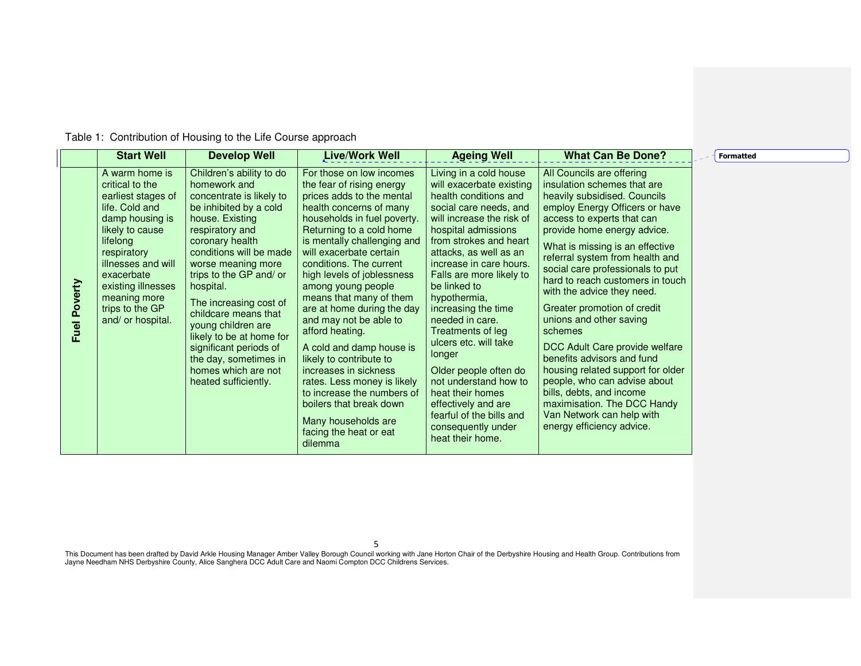| Table 1: Contribution of Housing to the Life Course approach |  |  |
|--------------------------------------------------------------|--|--|
|                                                              |  |  |

|                     | <b>Start Well</b>                                                                                                                                                                                                                                            | <b>Develop Well</b>                                                                                                                                                                                                                                                                                                                                                                                                                                    | <b>Live/Work Well</b>                                                                                                                                                                                                                                                                                                                                                                                                                                                                                                                                                                                                                                       | <b>Ageing Well</b>                                                                                                                                                                                                                                                                                                                                                                                                                                                                                                                                                        | <b>What Can Be Done?</b>                                                                                                                                                                                                                                                                                                                                                                                                                                                                                                                                                                                                                                                                           | <b>Formatted</b> |
|---------------------|--------------------------------------------------------------------------------------------------------------------------------------------------------------------------------------------------------------------------------------------------------------|--------------------------------------------------------------------------------------------------------------------------------------------------------------------------------------------------------------------------------------------------------------------------------------------------------------------------------------------------------------------------------------------------------------------------------------------------------|-------------------------------------------------------------------------------------------------------------------------------------------------------------------------------------------------------------------------------------------------------------------------------------------------------------------------------------------------------------------------------------------------------------------------------------------------------------------------------------------------------------------------------------------------------------------------------------------------------------------------------------------------------------|---------------------------------------------------------------------------------------------------------------------------------------------------------------------------------------------------------------------------------------------------------------------------------------------------------------------------------------------------------------------------------------------------------------------------------------------------------------------------------------------------------------------------------------------------------------------------|----------------------------------------------------------------------------------------------------------------------------------------------------------------------------------------------------------------------------------------------------------------------------------------------------------------------------------------------------------------------------------------------------------------------------------------------------------------------------------------------------------------------------------------------------------------------------------------------------------------------------------------------------------------------------------------------------|------------------|
| <b>Fuel Poverty</b> | A warm home is<br>critical to the<br>earliest stages of<br>life. Cold and<br>damp housing is<br>likely to cause<br>lifelong<br>respiratory<br>illnesses and will<br>exacerbate<br>existing illnesses<br>meaning more<br>trips to the GP<br>and/ or hospital. | Children's ability to do<br>homework and<br>concentrate is likely to<br>be inhibited by a cold<br>house. Existing<br>respiratory and<br>coronary health<br>conditions will be made<br>worse meaning more<br>trips to the GP and/ or<br>hospital.<br>The increasing cost of<br>childcare means that<br>young children are<br>likely to be at home for<br>significant periods of<br>the day, sometimes in<br>homes which are not<br>heated sufficiently. | For those on low incomes<br>the fear of rising energy<br>prices adds to the mental<br>health concerns of many<br>households in fuel poverty.<br>Returning to a cold home<br>is mentally challenging and<br>will exacerbate certain<br>conditions. The current<br>high levels of joblessness<br>among young people<br>means that many of them<br>are at home during the day<br>and may not be able to<br>afford heating.<br>A cold and damp house is<br>likely to contribute to<br>increases in sickness<br>rates. Less money is likely<br>to increase the numbers of<br>boilers that break down<br>Many households are<br>facing the heat or eat<br>dilemma | Living in a cold house<br>will exacerbate existing<br>health conditions and<br>social care needs, and<br>will increase the risk of<br>hospital admissions<br>from strokes and heart<br>attacks, as well as an<br>increase in care hours.<br>Falls are more likely to<br>be linked to<br>hypothermia,<br>increasing the time<br>needed in care.<br>Treatments of leg<br>ulcers etc. will take<br>longer<br>Older people often do<br>not understand how to<br>heat their homes<br>effectively and are<br>fearful of the bills and<br>consequently under<br>heat their home. | All Councils are offering<br>insulation schemes that are<br>heavily subsidised. Councils<br>employ Energy Officers or have<br>access to experts that can<br>provide home energy advice.<br>What is missing is an effective<br>referral system from health and<br>social care professionals to put<br>hard to reach customers in touch<br>with the advice they need.<br>Greater promotion of credit<br>unions and other saving<br>schemes<br>DCC Adult Care provide welfare<br>benefits advisors and fund<br>housing related support for older<br>people, who can advise about<br>bills, debts, and income<br>maximisation. The DCC Handy<br>Van Network can help with<br>energy efficiency advice. |                  |

5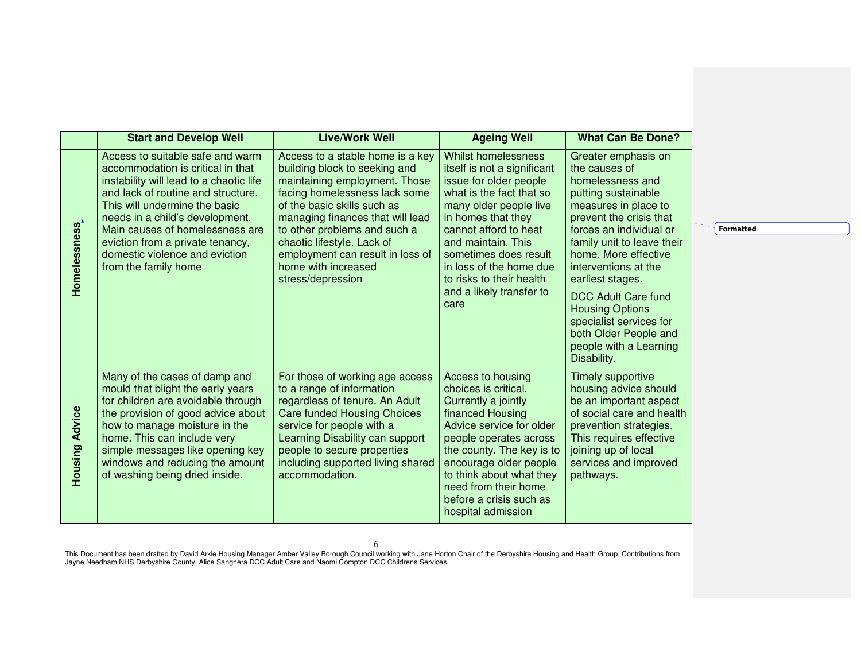|                       | <b>Start and Develop Well</b>                                                                                                                                                                                                                                                                                                                               | <b>Live/Work Well</b>                                                                                                                                                                                                                                                                                                                                | <b>Ageing Well</b>                                                                                                                                                                                                                                                                                                          | <b>What Can Be Done?</b>                                                                                                                                                                                                                                                                                                                                                                                             |
|-----------------------|-------------------------------------------------------------------------------------------------------------------------------------------------------------------------------------------------------------------------------------------------------------------------------------------------------------------------------------------------------------|------------------------------------------------------------------------------------------------------------------------------------------------------------------------------------------------------------------------------------------------------------------------------------------------------------------------------------------------------|-----------------------------------------------------------------------------------------------------------------------------------------------------------------------------------------------------------------------------------------------------------------------------------------------------------------------------|----------------------------------------------------------------------------------------------------------------------------------------------------------------------------------------------------------------------------------------------------------------------------------------------------------------------------------------------------------------------------------------------------------------------|
| Homelessness          | Access to suitable safe and warm<br>accommodation is critical in that<br>instability will lead to a chaotic life<br>and lack of routine and structure.<br>This will undermine the basic<br>needs in a child's development.<br>Main causes of homelessness are<br>eviction from a private tenancy,<br>domestic violence and eviction<br>from the family home | Access to a stable home is a key<br>building block to seeking and<br>maintaining employment. Those<br>facing homelessness lack some<br>of the basic skills such as<br>managing finances that will lead<br>to other problems and such a<br>chaotic lifestyle. Lack of<br>employment can result in loss of<br>home with increased<br>stress/depression | Whilst homelessness<br>itself is not a significant<br>issue for older people<br>what is the fact that so<br>many older people live<br>in homes that they<br>cannot afford to heat<br>and maintain. This<br>sometimes does result<br>in loss of the home due<br>to risks to their health<br>and a likely transfer to<br>care | Greater emphasis on<br>the causes of<br>homelessness and<br>putting sustainable<br>measures in place to<br>prevent the crisis that<br>forces an individual or<br>family unit to leave their<br>home. More effective<br>interventions at the<br>earliest stages.<br><b>DCC Adult Care fund</b><br><b>Housing Options</b><br>specialist services for<br>both Older People and<br>people with a Learning<br>Disability. |
| <b>Housing Advice</b> | Many of the cases of damp and<br>mould that blight the early years<br>for children are avoidable through<br>the provision of good advice about<br>how to manage moisture in the<br>home. This can include very<br>simple messages like opening key<br>windows and reducing the amount<br>of washing being dried inside.                                     | For those of working age access<br>to a range of information<br>regardless of tenure. An Adult<br><b>Care funded Housing Choices</b><br>service for people with a<br>Learning Disability can support<br>people to secure properties<br>including supported living shared<br>accommodation.                                                           | Access to housing<br>choices is critical.<br>Currently a jointly<br>financed Housing<br>Advice service for older<br>people operates across<br>the county. The key is to<br>encourage older people<br>to think about what they<br>need from their home<br>before a crisis such as<br>hospital admission                      | <b>Timely supportive</b><br>housing advice should<br>be an important aspect<br>of social care and health<br>prevention strategies.<br>This requires effective<br>joining up of local<br>services and improved<br>pathways.                                                                                                                                                                                           |

**Formatted**

6

This Document has been drafted by David Arkle Housing Manager Amber Valley Borough Council working with Jane Horton Chair of the Derbyshire Housing and Health Group. Contributions from<br>Jayne Needham NHS Derbyshire County,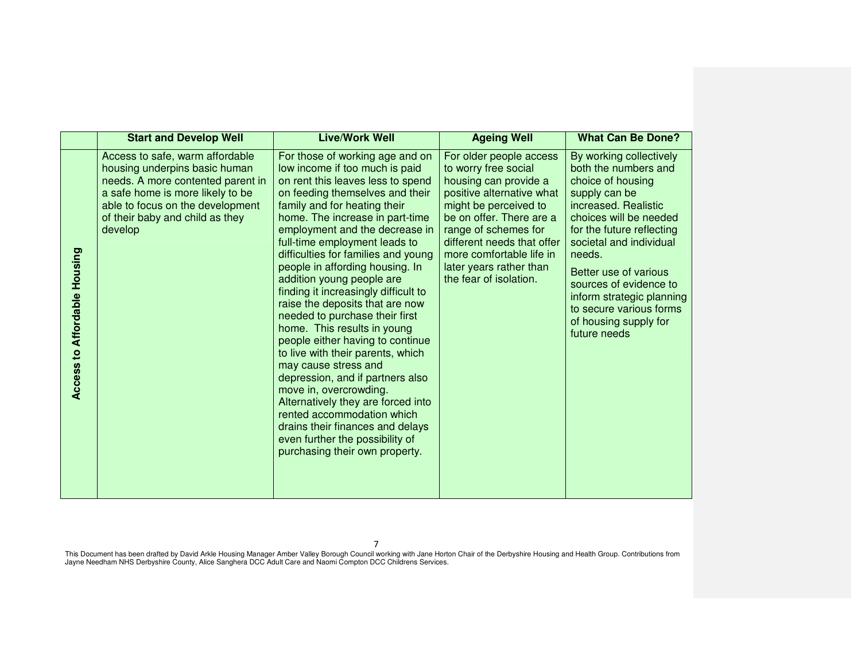|                                     | <b>Start and Develop Well</b>                                                                                                                                                                                               | <b>Live/Work Well</b>                                                                                                                                                                                                                                                                                                                                                                                                                                                                                                                                                                                                                                                                                                                                                                                                                                                          | <b>Ageing Well</b>                                                                                                                                                                                                                                                                                | <b>What Can Be Done?</b>                                                                                                                                                                                                                                                                                                                                      |
|-------------------------------------|-----------------------------------------------------------------------------------------------------------------------------------------------------------------------------------------------------------------------------|--------------------------------------------------------------------------------------------------------------------------------------------------------------------------------------------------------------------------------------------------------------------------------------------------------------------------------------------------------------------------------------------------------------------------------------------------------------------------------------------------------------------------------------------------------------------------------------------------------------------------------------------------------------------------------------------------------------------------------------------------------------------------------------------------------------------------------------------------------------------------------|---------------------------------------------------------------------------------------------------------------------------------------------------------------------------------------------------------------------------------------------------------------------------------------------------|---------------------------------------------------------------------------------------------------------------------------------------------------------------------------------------------------------------------------------------------------------------------------------------------------------------------------------------------------------------|
| <b>Access to Affordable Housing</b> | Access to safe, warm affordable<br>housing underpins basic human<br>needs. A more contented parent in<br>a safe home is more likely to be<br>able to focus on the development<br>of their baby and child as they<br>develop | For those of working age and on<br>low income if too much is paid<br>on rent this leaves less to spend<br>on feeding themselves and their<br>family and for heating their<br>home. The increase in part-time<br>employment and the decrease in<br>full-time employment leads to<br>difficulties for families and young<br>people in affording housing. In<br>addition young people are<br>finding it increasingly difficult to<br>raise the deposits that are now<br>needed to purchase their first<br>home. This results in young<br>people either having to continue<br>to live with their parents, which<br>may cause stress and<br>depression, and if partners also<br>move in, overcrowding.<br>Alternatively they are forced into<br>rented accommodation which<br>drains their finances and delays<br>even further the possibility of<br>purchasing their own property. | For older people access<br>to worry free social<br>housing can provide a<br>positive alternative what<br>might be perceived to<br>be on offer. There are a<br>range of schemes for<br>different needs that offer<br>more comfortable life in<br>later years rather than<br>the fear of isolation. | By working collectively<br>both the numbers and<br>choice of housing<br>supply can be<br>increased. Realistic<br>choices will be needed<br>for the future reflecting<br>societal and individual<br>needs.<br>Better use of various<br>sources of evidence to<br>inform strategic planning<br>to secure various forms<br>of housing supply for<br>future needs |

7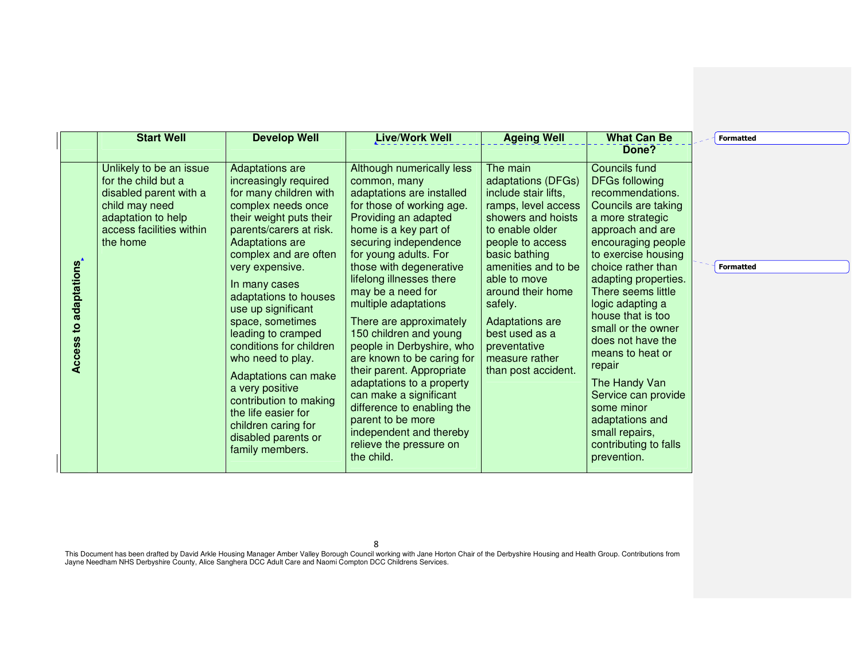|                                              | <b>Start Well</b>                                                                                                                                        | <b>Develop Well</b>                                                                                                                                                                                                                                                                                                                                                                                                                                                                                                                         | <b>Live/Work Well</b>                                                                                                                                                                                                                                                                                                                                                                                                                                                                                                                                                                                                   | <b>Ageing Well</b>                                                                                                                                                                                                                                                                                                                      | <b>What Can Be</b>                                                                                                                                                                                                                                                                                                                                                                                                                                                                               | <b>Formatted</b> |
|----------------------------------------------|----------------------------------------------------------------------------------------------------------------------------------------------------------|---------------------------------------------------------------------------------------------------------------------------------------------------------------------------------------------------------------------------------------------------------------------------------------------------------------------------------------------------------------------------------------------------------------------------------------------------------------------------------------------------------------------------------------------|-------------------------------------------------------------------------------------------------------------------------------------------------------------------------------------------------------------------------------------------------------------------------------------------------------------------------------------------------------------------------------------------------------------------------------------------------------------------------------------------------------------------------------------------------------------------------------------------------------------------------|-----------------------------------------------------------------------------------------------------------------------------------------------------------------------------------------------------------------------------------------------------------------------------------------------------------------------------------------|--------------------------------------------------------------------------------------------------------------------------------------------------------------------------------------------------------------------------------------------------------------------------------------------------------------------------------------------------------------------------------------------------------------------------------------------------------------------------------------------------|------------------|
| adaptations<br>$\mathbf{S}$<br><b>Access</b> | Unlikely to be an issue<br>for the child but a<br>disabled parent with a<br>child may need<br>adaptation to help<br>access facilities within<br>the home | Adaptations are<br>increasingly required<br>for many children with<br>complex needs once<br>their weight puts their<br>parents/carers at risk.<br><b>Adaptations are</b><br>complex and are often<br>very expensive.<br>In many cases<br>adaptations to houses<br>use up significant<br>space, sometimes<br>leading to cramped<br>conditions for children<br>who need to play.<br>Adaptations can make<br>a very positive<br>contribution to making<br>the life easier for<br>children caring for<br>disabled parents or<br>family members. | Although numerically less<br>common, many<br>adaptations are installed<br>for those of working age.<br>Providing an adapted<br>home is a key part of<br>securing independence<br>for young adults. For<br>those with degenerative<br>lifelong illnesses there<br>may be a need for<br>multiple adaptations<br>There are approximately<br>150 children and young<br>people in Derbyshire, who<br>are known to be caring for<br>their parent. Appropriate<br>adaptations to a property<br>can make a significant<br>difference to enabling the<br>parent to be more<br>independent and thereby<br>relieve the pressure on | The main<br>adaptations (DFGs)<br>include stair lifts,<br>ramps, level access<br>showers and hoists<br>to enable older<br>people to access<br>basic bathing<br>amenities and to be<br>able to move<br>around their home<br>safely.<br><b>Adaptations are</b><br>best used as a<br>preventative<br>measure rather<br>than post accident. | Done?<br><b>Councils fund</b><br><b>DFGs following</b><br>recommendations.<br>Councils are taking<br>a more strategic<br>approach and are<br>encouraging people<br>to exercise housing<br>choice rather than<br>adapting properties.<br>There seems little<br>logic adapting a<br>house that is too<br>small or the owner<br>does not have the<br>means to heat or<br>repair<br>The Handy Van<br>Service can provide<br>some minor<br>adaptations and<br>small repairs,<br>contributing to falls | <b>Formatted</b> |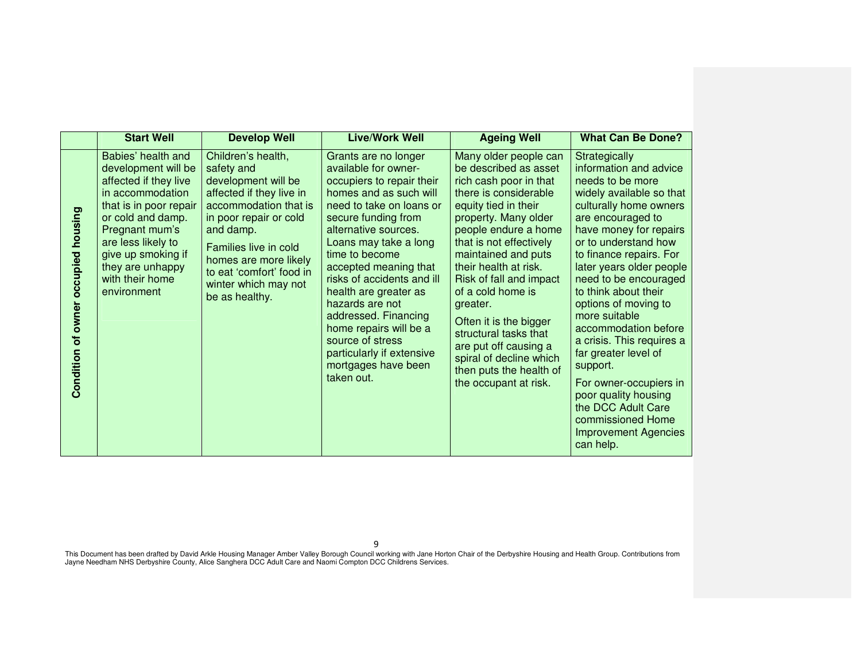|                                           | <b>Start Well</b>                                                                                                                                                                                                                                         | <b>Develop Well</b>                                                                                                                                                                                                                                                         | <b>Live/Work Well</b>                                                                                                                                                                                                                                                                                                                                                                                                                                                | <b>Ageing Well</b>                                                                                                                                                                                                                                                                                                                                                                                                                                                          | <b>What Can Be Done?</b>                                                                                                                                                                                                                                                                                                                                                                                                                                                                                                                                                    |
|-------------------------------------------|-----------------------------------------------------------------------------------------------------------------------------------------------------------------------------------------------------------------------------------------------------------|-----------------------------------------------------------------------------------------------------------------------------------------------------------------------------------------------------------------------------------------------------------------------------|----------------------------------------------------------------------------------------------------------------------------------------------------------------------------------------------------------------------------------------------------------------------------------------------------------------------------------------------------------------------------------------------------------------------------------------------------------------------|-----------------------------------------------------------------------------------------------------------------------------------------------------------------------------------------------------------------------------------------------------------------------------------------------------------------------------------------------------------------------------------------------------------------------------------------------------------------------------|-----------------------------------------------------------------------------------------------------------------------------------------------------------------------------------------------------------------------------------------------------------------------------------------------------------------------------------------------------------------------------------------------------------------------------------------------------------------------------------------------------------------------------------------------------------------------------|
| housing<br>occupied<br>Condition of owner | Babies' health and<br>development will be<br>affected if they live<br>in accommodation<br>that is in poor repair<br>or cold and damp.<br>Pregnant mum's<br>are less likely to<br>give up smoking if<br>they are unhappy<br>with their home<br>environment | Children's health,<br>safety and<br>development will be<br>affected if they live in<br>accommodation that is<br>in poor repair or cold<br>and damp.<br>Families live in cold<br>homes are more likely<br>to eat 'comfort' food in<br>winter which may not<br>be as healthy. | Grants are no longer<br>available for owner-<br>occupiers to repair their<br>homes and as such will<br>need to take on loans or<br>secure funding from<br>alternative sources.<br>Loans may take a long<br>time to become<br>accepted meaning that<br>risks of accidents and ill<br>health are greater as<br>hazards are not<br>addressed. Financing<br>home repairs will be a<br>source of stress<br>particularly if extensive<br>mortgages have been<br>taken out. | Many older people can<br>be described as asset<br>rich cash poor in that<br>there is considerable<br>equity tied in their<br>property. Many older<br>people endure a home<br>that is not effectively<br>maintained and puts<br>their health at risk.<br>Risk of fall and impact<br>of a cold home is<br>greater.<br>Often it is the bigger<br>structural tasks that<br>are put off causing a<br>spiral of decline which<br>then puts the health of<br>the occupant at risk. | Strategically<br>information and advice<br>needs to be more<br>widely available so that<br>culturally home owners<br>are encouraged to<br>have money for repairs<br>or to understand how<br>to finance repairs. For<br>later years older people<br>need to be encouraged<br>to think about their<br>options of moving to<br>more suitable<br>accommodation before<br>a crisis. This requires a<br>far greater level of<br>support.<br>For owner-occupiers in<br>poor quality housing<br>the DCC Adult Care<br>commissioned Home<br><b>Improvement Agencies</b><br>can help. |

9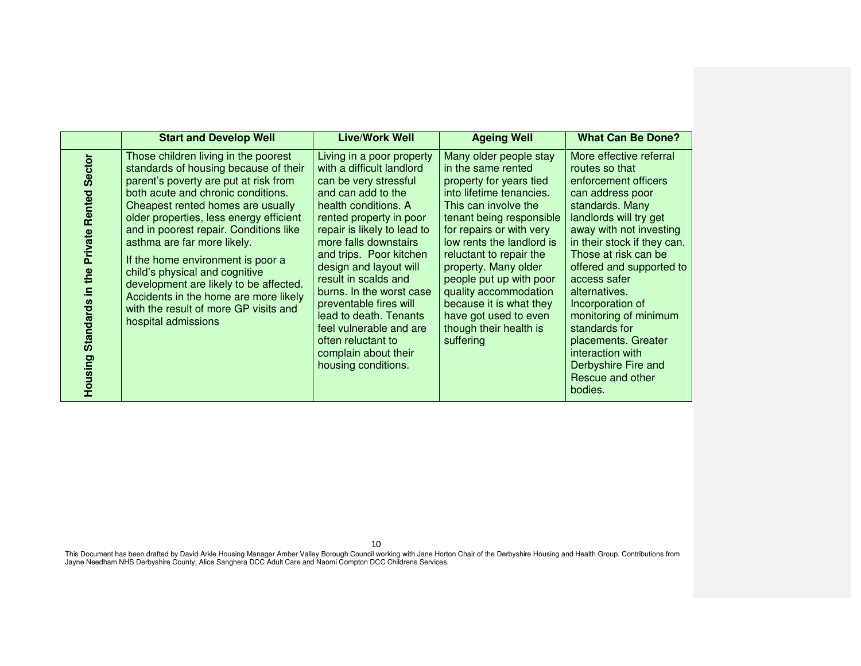|                                                                             | <b>Start and Develop Well</b>                                                                                                                                                                                                                                                                                                                                                                                                                                                                                                                   | <b>Live/Work Well</b>                                                                                                                                                                                                                                                                                                                                                                                                                                                         | <b>Ageing Well</b>                                                                                                                                                                                                                                                                                                                                                                                                 | <b>What Can Be Done?</b>                                                                                                                                                                                                                                                                                                                                                                                                                         |
|-----------------------------------------------------------------------------|-------------------------------------------------------------------------------------------------------------------------------------------------------------------------------------------------------------------------------------------------------------------------------------------------------------------------------------------------------------------------------------------------------------------------------------------------------------------------------------------------------------------------------------------------|-------------------------------------------------------------------------------------------------------------------------------------------------------------------------------------------------------------------------------------------------------------------------------------------------------------------------------------------------------------------------------------------------------------------------------------------------------------------------------|--------------------------------------------------------------------------------------------------------------------------------------------------------------------------------------------------------------------------------------------------------------------------------------------------------------------------------------------------------------------------------------------------------------------|--------------------------------------------------------------------------------------------------------------------------------------------------------------------------------------------------------------------------------------------------------------------------------------------------------------------------------------------------------------------------------------------------------------------------------------------------|
| <b>Sector</b><br>Rented<br>Private<br>in the<br><b>Standards</b><br>Housing | Those children living in the poorest<br>standards of housing because of their<br>parent's poverty are put at risk from<br>both acute and chronic conditions.<br>Cheapest rented homes are usually<br>older properties, less energy efficient<br>and in poorest repair. Conditions like<br>asthma are far more likely.<br>If the home environment is poor a<br>child's physical and cognitive<br>development are likely to be affected.<br>Accidents in the home are more likely<br>with the result of more GP visits and<br>hospital admissions | Living in a poor property<br>with a difficult landlord<br>can be very stressful<br>and can add to the<br>health conditions. A<br>rented property in poor<br>repair is likely to lead to<br>more falls downstairs<br>and trips. Poor kitchen<br>design and layout will<br>result in scalds and<br>burns. In the worst case<br>preventable fires will<br>lead to death. Tenants<br>feel vulnerable and are<br>often reluctant to<br>complain about their<br>housing conditions. | Many older people stay<br>in the same rented<br>property for years tied<br>into lifetime tenancies.<br>This can involve the<br>tenant being responsible<br>for repairs or with very<br>low rents the landlord is<br>reluctant to repair the<br>property. Many older<br>people put up with poor<br>quality accommodation<br>because it is what they<br>have got used to even<br>though their health is<br>suffering | More effective referral<br>routes so that<br>enforcement officers<br>can address poor<br>standards. Many<br>landlords will try get<br>away with not investing<br>in their stock if they can.<br>Those at risk can be<br>offered and supported to<br>access safer<br>alternatives.<br>Incorporation of<br>monitoring of minimum<br>standards for<br>placements. Greater<br>interaction with<br>Derbyshire Fire and<br>Rescue and other<br>bodies. |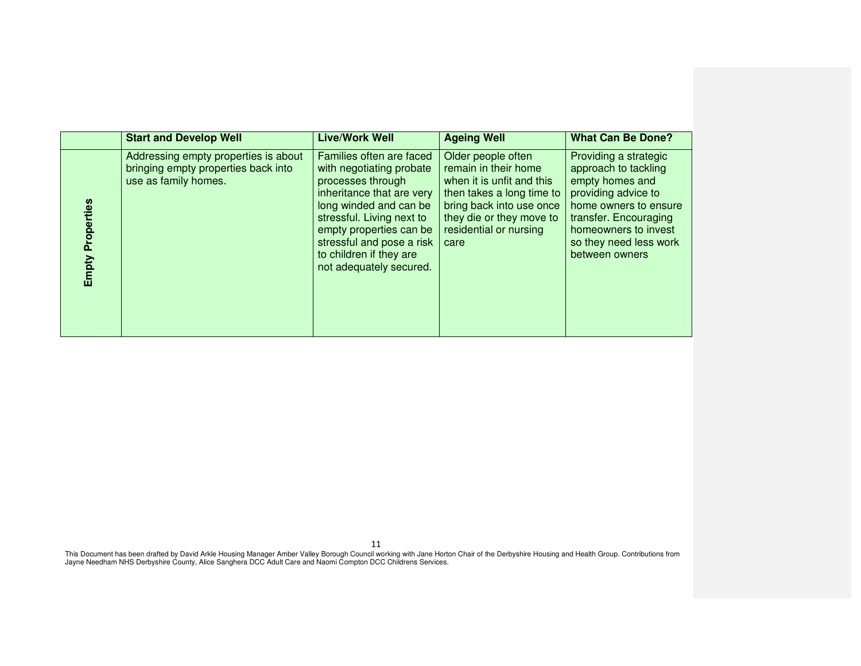|                     | <b>Start and Develop Well</b>                                                                       | <b>Live/Work Well</b>                                                                                                                                                                                                                                                       | <b>Ageing Well</b>                                                                                                                                                                             | <b>What Can Be Done?</b>                                                                                                                                                                                      |
|---------------------|-----------------------------------------------------------------------------------------------------|-----------------------------------------------------------------------------------------------------------------------------------------------------------------------------------------------------------------------------------------------------------------------------|------------------------------------------------------------------------------------------------------------------------------------------------------------------------------------------------|---------------------------------------------------------------------------------------------------------------------------------------------------------------------------------------------------------------|
| Properties<br>Empty | Addressing empty properties is about<br>bringing empty properties back into<br>use as family homes. | Families often are faced<br>with negotiating probate<br>processes through<br>inheritance that are very<br>long winded and can be<br>stressful. Living next to<br>empty properties can be<br>stressful and pose a risk<br>to children if they are<br>not adequately secured. | Older people often<br>remain in their home<br>when it is unfit and this<br>then takes a long time to<br>bring back into use once<br>they die or they move to<br>residential or nursing<br>care | Providing a strategic<br>approach to tackling<br>empty homes and<br>providing advice to<br>home owners to ensure<br>transfer. Encouraging<br>homeowners to invest<br>so they need less work<br>between owners |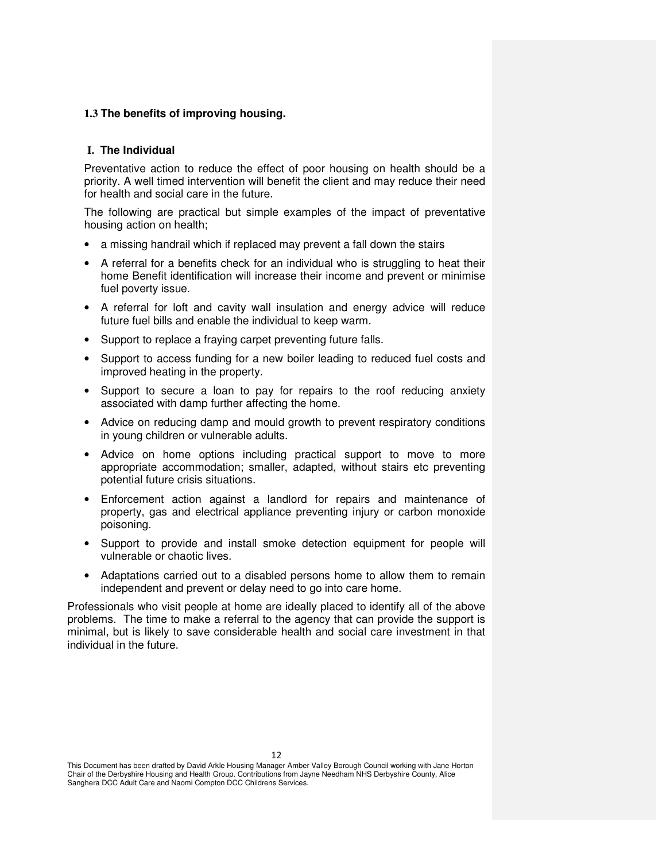#### **1.3 The benefits of improving housing.**

#### **I. The Individual**

Preventative action to reduce the effect of poor housing on health should be a priority. A well timed intervention will benefit the client and may reduce their need for health and social care in the future.

The following are practical but simple examples of the impact of preventative housing action on health;

- a missing handrail which if replaced may prevent a fall down the stairs
- A referral for a benefits check for an individual who is struggling to heat their home Benefit identification will increase their income and prevent or minimise fuel poverty issue.
- A referral for loft and cavity wall insulation and energy advice will reduce future fuel bills and enable the individual to keep warm.
- Support to replace a fraying carpet preventing future falls.
- Support to access funding for a new boiler leading to reduced fuel costs and improved heating in the property.
- Support to secure a loan to pay for repairs to the roof reducing anxiety associated with damp further affecting the home.
- Advice on reducing damp and mould growth to prevent respiratory conditions in young children or vulnerable adults.
- Advice on home options including practical support to move to more appropriate accommodation; smaller, adapted, without stairs etc preventing potential future crisis situations.
- Enforcement action against a landlord for repairs and maintenance of property, gas and electrical appliance preventing injury or carbon monoxide poisoning.
- Support to provide and install smoke detection equipment for people will vulnerable or chaotic lives.
- Adaptations carried out to a disabled persons home to allow them to remain independent and prevent or delay need to go into care home.

Professionals who visit people at home are ideally placed to identify all of the above problems. The time to make a referral to the agency that can provide the support is minimal, but is likely to save considerable health and social care investment in that individual in the future.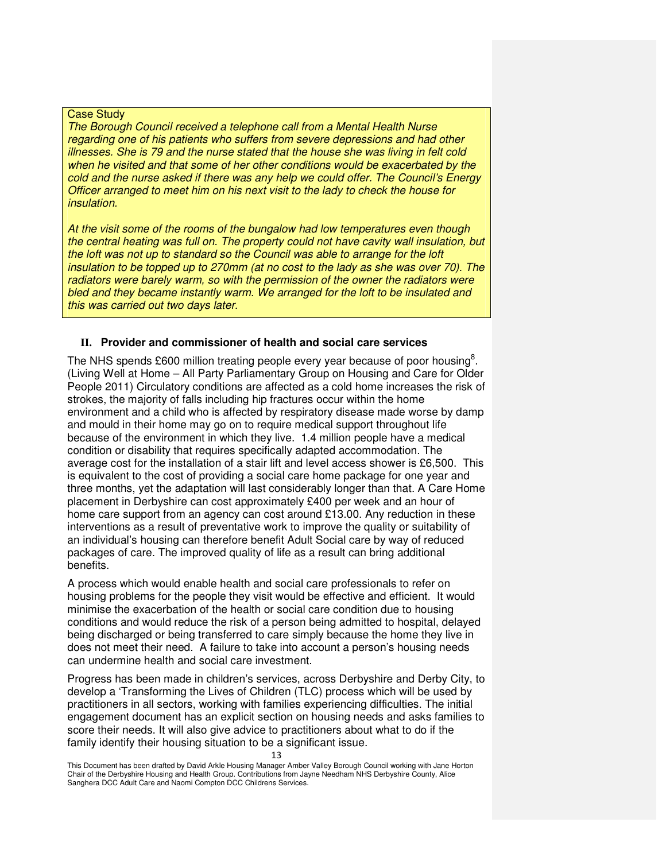## Case Study

The Borough Council received a telephone call from a Mental Health Nurse regarding one of his patients who suffers from severe depressions and had other illnesses. She is 79 and the nurse stated that the house she was living in felt cold when he visited and that some of her other conditions would be exacerbated by the cold and the nurse asked if there was any help we could offer. The Council's Energy Officer arranged to meet him on his next visit to the lady to check the house for insulation.

At the visit some of the rooms of the bungalow had low temperatures even though the central heating was full on. The property could not have cavity wall insulation, but the loft was not up to standard so the Council was able to arrange for the loft insulation to be topped up to 270mm (at no cost to the lady as she was over 70). The radiators were barely warm, so with the permission of the owner the radiators were bled and they became instantly warm. We arranged for the loft to be insulated and this was carried out two days later.

#### **II. Provider and commissioner of health and social care services**

The NHS spends £600 million treating people every year because of poor housing<sup>8</sup>. (Living Well at Home – All Party Parliamentary Group on Housing and Care for Older People 2011) Circulatory conditions are affected as a cold home increases the risk of strokes, the majority of falls including hip fractures occur within the home environment and a child who is affected by respiratory disease made worse by damp and mould in their home may go on to require medical support throughout life because of the environment in which they live. 1.4 million people have a medical condition or disability that requires specifically adapted accommodation. The average cost for the installation of a stair lift and level access shower is £6,500. This is equivalent to the cost of providing a social care home package for one year and three months, yet the adaptation will last considerably longer than that. A Care Home placement in Derbyshire can cost approximately £400 per week and an hour of home care support from an agency can cost around £13.00. Any reduction in these interventions as a result of preventative work to improve the quality or suitability of an individual's housing can therefore benefit Adult Social care by way of reduced packages of care. The improved quality of life as a result can bring additional benefits.

A process which would enable health and social care professionals to refer on housing problems for the people they visit would be effective and efficient. It would minimise the exacerbation of the health or social care condition due to housing conditions and would reduce the risk of a person being admitted to hospital, delayed being discharged or being transferred to care simply because the home they live in does not meet their need. A failure to take into account a person's housing needs can undermine health and social care investment.

Progress has been made in children's services, across Derbyshire and Derby City, to develop a 'Transforming the Lives of Children (TLC) process which will be used by practitioners in all sectors, working with families experiencing difficulties. The initial engagement document has an explicit section on housing needs and asks families to score their needs. It will also give advice to practitioners about what to do if the family identify their housing situation to be a significant issue.

This Document has been drafted by David Arkle Housing Manager Amber Valley Borough Council working with Jane Horton Chair of the Derbyshire Housing and Health Group. Contributions from Jayne Needham NHS Derbyshire County, Alice Sanghera DCC Adult Care and Naomi Compton DCC Childrens Services.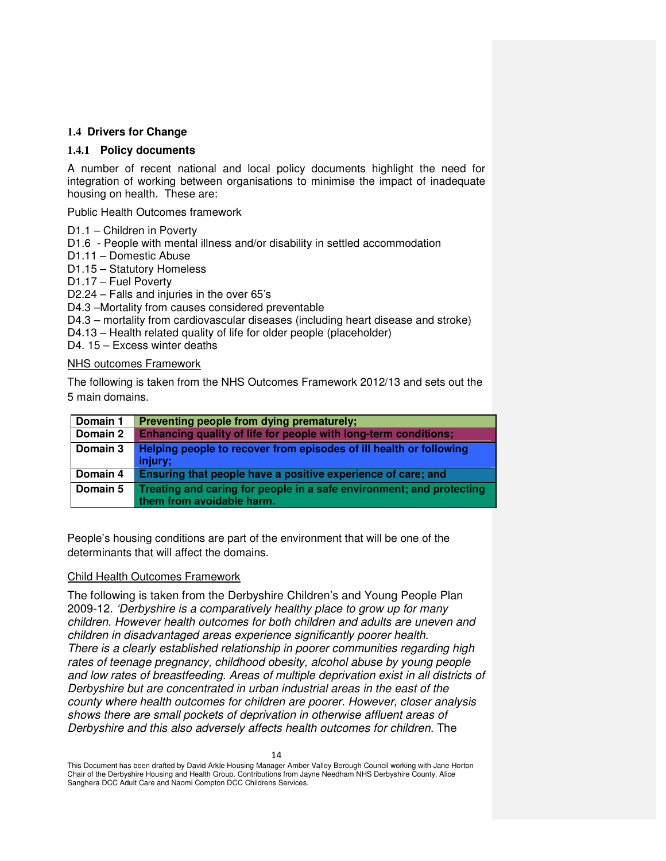### **1.4 Drivers for Change**

#### **1.4.1 Policy documents**

A number of recent national and local policy documents highlight the need for integration of working between organisations to minimise the impact of inadequate housing on health. These are:

Public Health Outcomes framework

D1.1 – Children in Poverty

D1.6 - People with mental illness and/or disability in settled accommodation

D1.11 – Domestic Abuse

D1.15 – Statutory Homeless

D1.17 – Fuel Poverty

D2.24 – Falls and injuries in the over 65's

D4.3 –Mortality from causes considered preventable

D4.3 – mortality from cardiovascular diseases (including heart disease and stroke)

D4.13 – Health related quality of life for older people (placeholder)

D4. 15 – Excess winter deaths

#### NHS outcomes Framework

The following is taken from the NHS Outcomes Framework 2012/13 and sets out the 5 main domains.

| Domain 1 | Preventing people from dying prematurely;                                                         |
|----------|---------------------------------------------------------------------------------------------------|
| Domain 2 | Enhancing quality of life for people with long-term conditions;                                   |
| Domain 3 | Helping people to recover from episodes of ill health or following<br>injury;                     |
| Domain 4 | <b>Ensuring that people have a positive experience of care; and</b>                               |
| Domain 5 | Treating and caring for people in a safe environment; and protecting<br>them from avoidable harm. |

People's housing conditions are part of the environment that will be one of the determinants that will affect the domains.

#### Child Health Outcomes Framework

The following is taken from the Derbyshire Children's and Young People Plan 2009-12. 'Derbyshire is a comparatively healthy place to grow up for many children. However health outcomes for both children and adults are uneven and children in disadvantaged areas experience significantly poorer health. There is a clearly established relationship in poorer communities regarding high rates of teenage pregnancy, childhood obesity, alcohol abuse by young people and low rates of breastfeeding. Areas of multiple deprivation exist in all districts of Derbyshire but are concentrated in urban industrial areas in the east of the county where health outcomes for children are poorer. However, closer analysis shows there are small pockets of deprivation in otherwise affluent areas of Derbyshire and this also adversely affects health outcomes for children. The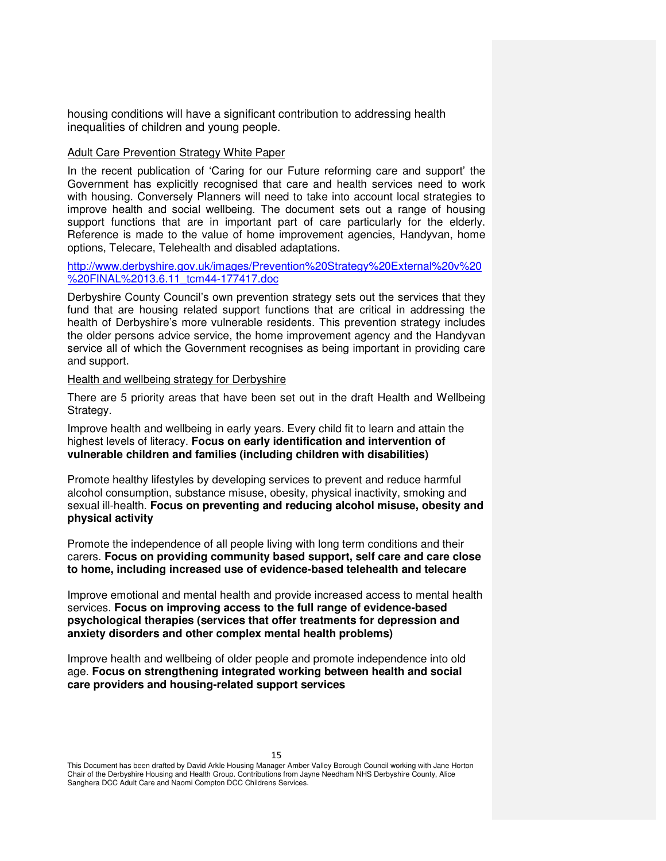housing conditions will have a significant contribution to addressing health inequalities of children and young people.

#### Adult Care Prevention Strategy White Paper

In the recent publication of 'Caring for our Future reforming care and support' the Government has explicitly recognised that care and health services need to work with housing. Conversely Planners will need to take into account local strategies to improve health and social wellbeing. The document sets out a range of housing support functions that are in important part of care particularly for the elderly. Reference is made to the value of home improvement agencies, Handyvan, home options, Telecare, Telehealth and disabled adaptations.

http://www.derbyshire.gov.uk/images/Prevention%20Strategy%20External%20v%20 %20FINAL%2013.6.11\_tcm44-177417.doc

Derbyshire County Council's own prevention strategy sets out the services that they fund that are housing related support functions that are critical in addressing the health of Derbyshire's more vulnerable residents. This prevention strategy includes the older persons advice service, the home improvement agency and the Handyvan service all of which the Government recognises as being important in providing care and support.

#### Health and wellbeing strategy for Derbyshire

There are 5 priority areas that have been set out in the draft Health and Wellbeing Strategy.

Improve health and wellbeing in early years. Every child fit to learn and attain the highest levels of literacy. **Focus on early identification and intervention of vulnerable children and families (including children with disabilities)** 

Promote healthy lifestyles by developing services to prevent and reduce harmful alcohol consumption, substance misuse, obesity, physical inactivity, smoking and sexual ill-health. **Focus on preventing and reducing alcohol misuse, obesity and physical activity** 

Promote the independence of all people living with long term conditions and their carers. **Focus on providing community based support, self care and care close to home, including increased use of evidence-based telehealth and telecare** 

Improve emotional and mental health and provide increased access to mental health services. **Focus on improving access to the full range of evidence-based psychological therapies (services that offer treatments for depression and anxiety disorders and other complex mental health problems)** 

Improve health and wellbeing of older people and promote independence into old age. **Focus on strengthening integrated working between health and social care providers and housing-related support services**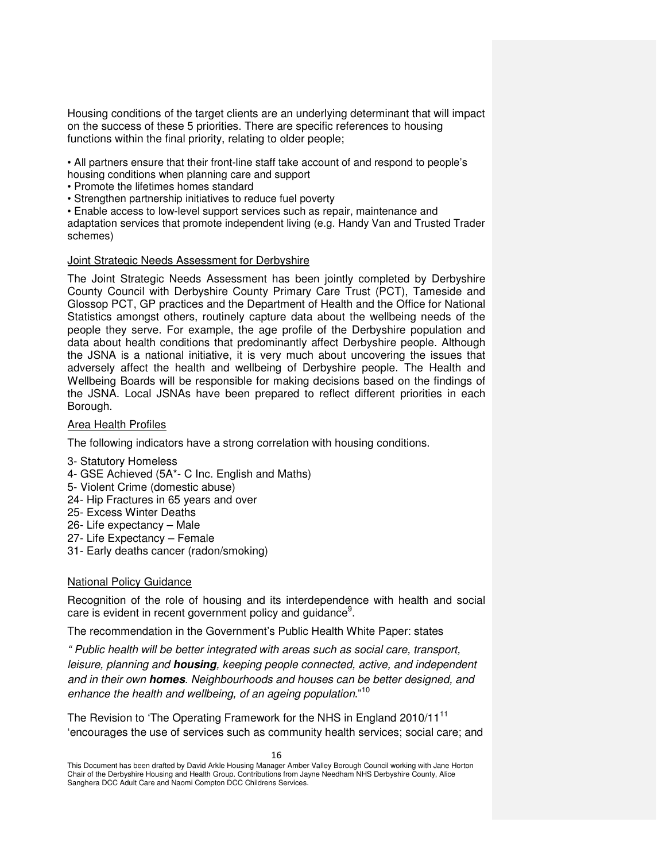Housing conditions of the target clients are an underlying determinant that will impact on the success of these 5 priorities. There are specific references to housing functions within the final priority, relating to older people;

• All partners ensure that their front-line staff take account of and respond to people's

- housing conditions when planning care and support
- Promote the lifetimes homes standard
- Strengthen partnership initiatives to reduce fuel poverty
- Enable access to low-level support services such as repair, maintenance and

adaptation services that promote independent living (e.g. Handy Van and Trusted Trader schemes)

## Joint Strategic Needs Assessment for Derbyshire

The Joint Strategic Needs Assessment has been jointly completed by Derbyshire County Council with Derbyshire County Primary Care Trust (PCT), Tameside and Glossop PCT, GP practices and the Department of Health and the Office for National Statistics amongst others, routinely capture data about the wellbeing needs of the people they serve. For example, the age profile of the Derbyshire population and data about health conditions that predominantly affect Derbyshire people. Although the JSNA is a national initiative, it is very much about uncovering the issues that adversely affect the health and wellbeing of Derbyshire people. The Health and Wellbeing Boards will be responsible for making decisions based on the findings of the JSNA. Local JSNAs have been prepared to reflect different priorities in each Borough.

## Area Health Profiles

The following indicators have a strong correlation with housing conditions.

- 3- Statutory Homeless
- 4- GSE Achieved (5A\*- C Inc. English and Maths)
- 5- Violent Crime (domestic abuse)
- 24- Hip Fractures in 65 years and over
- 25- Excess Winter Deaths
- 26- Life expectancy Male
- 27- Life Expectancy Female
- 31- Early deaths cancer (radon/smoking)

## National Policy Guidance

Recognition of the role of housing and its interdependence with health and social care is evident in recent government policy and guidance<sup>9</sup>.

The recommendation in the Government's Public Health White Paper: states

" Public health will be better integrated with areas such as social care, transport, leisure, planning and **housing**, keeping people connected, active, and independent and in their own **homes**. Neighbourhoods and houses can be better designed, and enhance the health and wellbeing, of an ageing population." $10$ 

The Revision to 'The Operating Framework for the NHS in England 2010/11<sup>11</sup> 'encourages the use of services such as community health services; social care; and

This Document has been drafted by David Arkle Housing Manager Amber Valley Borough Council working with Jane Horton Chair of the Derbyshire Housing and Health Group. Contributions from Jayne Needham NHS Derbyshire County, Alice Sanghera DCC Adult Care and Naomi Compton DCC Childrens Services.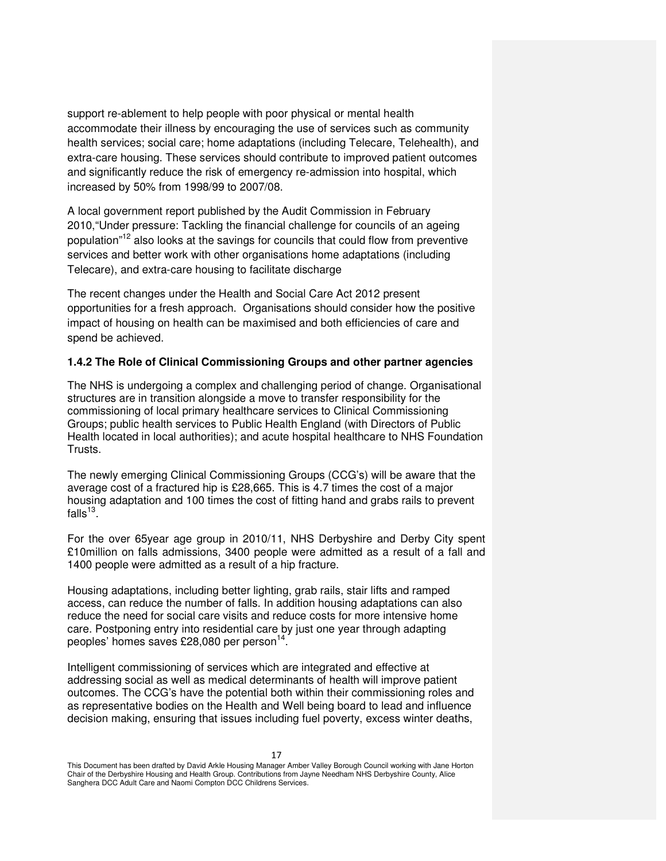support re-ablement to help people with poor physical or mental health accommodate their illness by encouraging the use of services such as community health services; social care; home adaptations (including Telecare, Telehealth), and extra-care housing. These services should contribute to improved patient outcomes and significantly reduce the risk of emergency re-admission into hospital, which increased by 50% from 1998/99 to 2007/08.

A local government report published by the Audit Commission in February 2010,"Under pressure: Tackling the financial challenge for councils of an ageing population"<sup>12</sup> also looks at the savings for councils that could flow from preventive services and better work with other organisations home adaptations (including Telecare), and extra-care housing to facilitate discharge

The recent changes under the Health and Social Care Act 2012 present opportunities for a fresh approach. Organisations should consider how the positive impact of housing on health can be maximised and both efficiencies of care and spend be achieved.

#### **1.4.2 The Role of Clinical Commissioning Groups and other partner agencies**

The NHS is undergoing a complex and challenging period of change. Organisational structures are in transition alongside a move to transfer responsibility for the commissioning of local primary healthcare services to Clinical Commissioning Groups; public health services to Public Health England (with Directors of Public Health located in local authorities); and acute hospital healthcare to NHS Foundation Trusts.

The newly emerging Clinical Commissioning Groups (CCG's) will be aware that the average cost of a fractured hip is £28,665. This is 4.7 times the cost of a major housing adaptation and 100 times the cost of fitting hand and grabs rails to prevent falls $^{13}$ . $\overline{\phantom{a}}$ 

For the over 65year age group in 2010/11, NHS Derbyshire and Derby City spent £10million on falls admissions, 3400 people were admitted as a result of a fall and 1400 people were admitted as a result of a hip fracture.

Housing adaptations, including better lighting, grab rails, stair lifts and ramped access, can reduce the number of falls. In addition housing adaptations can also reduce the need for social care visits and reduce costs for more intensive home care. Postponing entry into residential care by just one year through adapting peoples' homes saves £28,080 per person<sup>14</sup> .

Intelligent commissioning of services which are integrated and effective at addressing social as well as medical determinants of health will improve patient outcomes. The CCG's have the potential both within their commissioning roles and as representative bodies on the Health and Well being board to lead and influence decision making, ensuring that issues including fuel poverty, excess winter deaths,

This Document has been drafted by David Arkle Housing Manager Amber Valley Borough Council working with Jane Horton Chair of the Derbyshire Housing and Health Group. Contributions from Jayne Needham NHS Derbyshire County, Alice Sanghera DCC Adult Care and Naomi Compton DCC Childrens Services.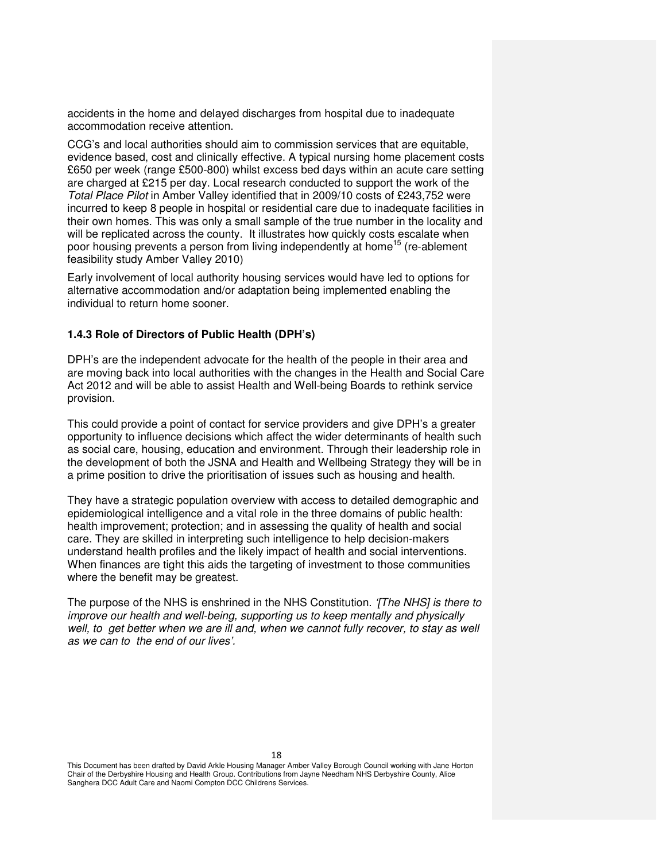accidents in the home and delayed discharges from hospital due to inadequate accommodation receive attention.

CCG's and local authorities should aim to commission services that are equitable, evidence based, cost and clinically effective. A typical nursing home placement costs £650 per week (range £500-800) whilst excess bed days within an acute care setting are charged at £215 per day. Local research conducted to support the work of the Total Place Pilot in Amber Valley identified that in 2009/10 costs of £243,752 were incurred to keep 8 people in hospital or residential care due to inadequate facilities in their own homes. This was only a small sample of the true number in the locality and will be replicated across the county. It illustrates how quickly costs escalate when poor housing prevents a person from living independently at home<sup>15</sup> (re-ablement feasibility study Amber Valley 2010)

Early involvement of local authority housing services would have led to options for alternative accommodation and/or adaptation being implemented enabling the individual to return home sooner.

## **1.4.3 Role of Directors of Public Health (DPH's)**

DPH's are the independent advocate for the health of the people in their area and are moving back into local authorities with the changes in the Health and Social Care Act 2012 and will be able to assist Health and Well-being Boards to rethink service provision.

This could provide a point of contact for service providers and give DPH's a greater opportunity to influence decisions which affect the wider determinants of health such as social care, housing, education and environment. Through their leadership role in the development of both the JSNA and Health and Wellbeing Strategy they will be in a prime position to drive the prioritisation of issues such as housing and health.

They have a strategic population overview with access to detailed demographic and epidemiological intelligence and a vital role in the three domains of public health: health improvement; protection; and in assessing the quality of health and social care. They are skilled in interpreting such intelligence to help decision-makers understand health profiles and the likely impact of health and social interventions. When finances are tight this aids the targeting of investment to those communities where the benefit may be greatest.

The purpose of the NHS is enshrined in the NHS Constitution. '[The NHS] is there to improve our health and well-being, supporting us to keep mentally and physically well, to get better when we are ill and, when we cannot fully recover, to stay as well as we can to the end of our lives'.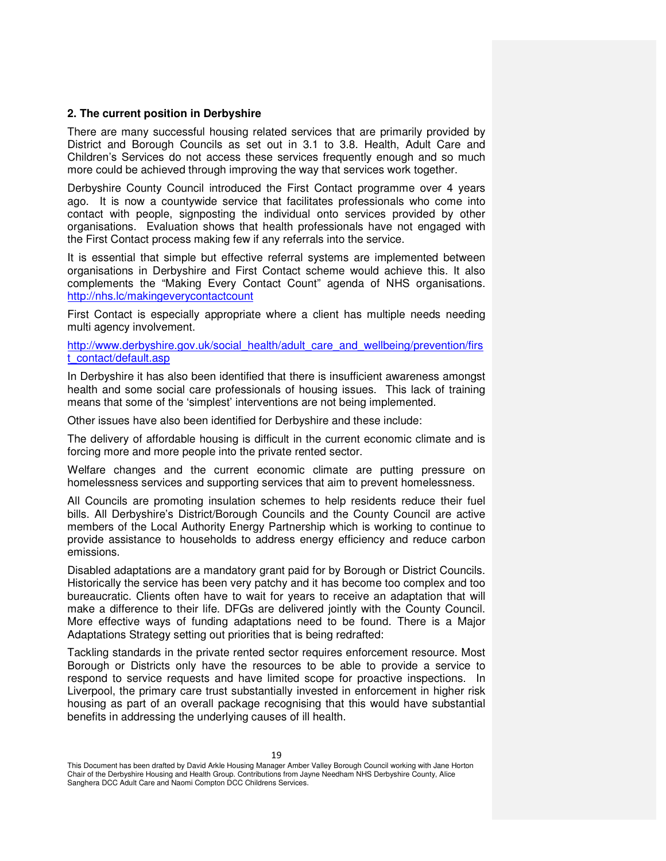#### **2. The current position in Derbyshire**

There are many successful housing related services that are primarily provided by District and Borough Councils as set out in 3.1 to 3.8. Health, Adult Care and Children's Services do not access these services frequently enough and so much more could be achieved through improving the way that services work together.

Derbyshire County Council introduced the First Contact programme over 4 years ago. It is now a countywide service that facilitates professionals who come into contact with people, signposting the individual onto services provided by other organisations. Evaluation shows that health professionals have not engaged with the First Contact process making few if any referrals into the service.

It is essential that simple but effective referral systems are implemented between organisations in Derbyshire and First Contact scheme would achieve this. It also complements the "Making Every Contact Count" agenda of NHS organisations. http://nhs.lc/makingeverycontactcount

First Contact is especially appropriate where a client has multiple needs needing multi agency involvement.

http://www.derbyshire.gov.uk/social\_health/adult\_care\_and\_wellbeing/prevention/firs t\_contact/default.asp

In Derbyshire it has also been identified that there is insufficient awareness amongst health and some social care professionals of housing issues. This lack of training means that some of the 'simplest' interventions are not being implemented.

Other issues have also been identified for Derbyshire and these include:

The delivery of affordable housing is difficult in the current economic climate and is forcing more and more people into the private rented sector.

Welfare changes and the current economic climate are putting pressure on homelessness services and supporting services that aim to prevent homelessness.

All Councils are promoting insulation schemes to help residents reduce their fuel bills. All Derbyshire's District/Borough Councils and the County Council are active members of the Local Authority Energy Partnership which is working to continue to provide assistance to households to address energy efficiency and reduce carbon emissions.

Disabled adaptations are a mandatory grant paid for by Borough or District Councils. Historically the service has been very patchy and it has become too complex and too bureaucratic. Clients often have to wait for years to receive an adaptation that will make a difference to their life. DFGs are delivered jointly with the County Council. More effective ways of funding adaptations need to be found. There is a Major Adaptations Strategy setting out priorities that is being redrafted:

Tackling standards in the private rented sector requires enforcement resource. Most Borough or Districts only have the resources to be able to provide a service to respond to service requests and have limited scope for proactive inspections. In Liverpool, the primary care trust substantially invested in enforcement in higher risk housing as part of an overall package recognising that this would have substantial benefits in addressing the underlying causes of ill health.

This Document has been drafted by David Arkle Housing Manager Amber Valley Borough Council working with Jane Horton Chair of the Derbyshire Housing and Health Group. Contributions from Jayne Needham NHS Derbyshire County, Alice Sanghera DCC Adult Care and Naomi Compton DCC Childrens Services.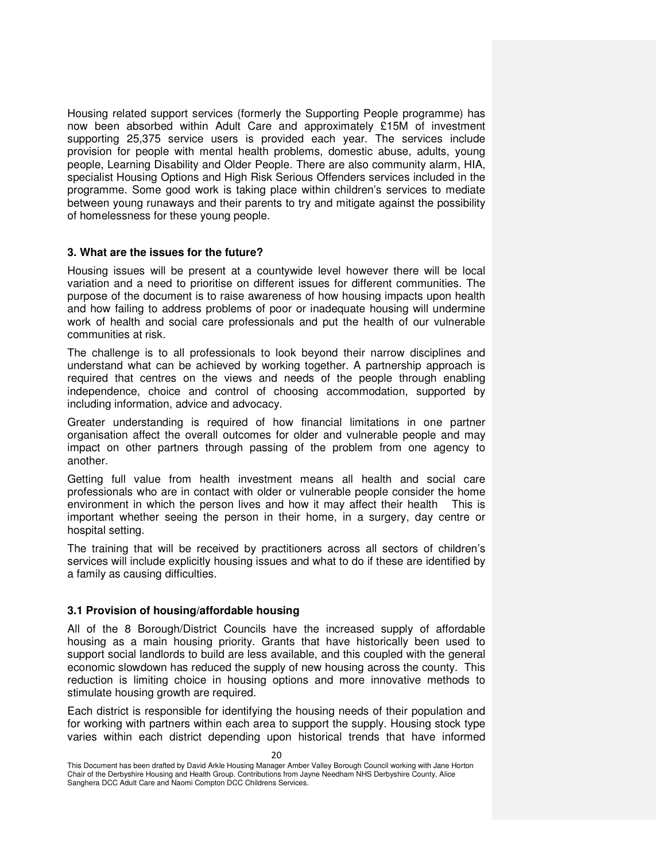Housing related support services (formerly the Supporting People programme) has now been absorbed within Adult Care and approximately £15M of investment supporting 25,375 service users is provided each year. The services include provision for people with mental health problems, domestic abuse, adults, young people, Learning Disability and Older People. There are also community alarm, HIA, specialist Housing Options and High Risk Serious Offenders services included in the programme. Some good work is taking place within children's services to mediate between young runaways and their parents to try and mitigate against the possibility of homelessness for these young people.

#### **3. What are the issues for the future?**

Housing issues will be present at a countywide level however there will be local variation and a need to prioritise on different issues for different communities. The purpose of the document is to raise awareness of how housing impacts upon health and how failing to address problems of poor or inadequate housing will undermine work of health and social care professionals and put the health of our vulnerable communities at risk.

The challenge is to all professionals to look beyond their narrow disciplines and understand what can be achieved by working together. A partnership approach is required that centres on the views and needs of the people through enabling independence, choice and control of choosing accommodation, supported by including information, advice and advocacy.

Greater understanding is required of how financial limitations in one partner organisation affect the overall outcomes for older and vulnerable people and may impact on other partners through passing of the problem from one agency to another.

Getting full value from health investment means all health and social care professionals who are in contact with older or vulnerable people consider the home environment in which the person lives and how it may affect their health This is important whether seeing the person in their home, in a surgery, day centre or hospital setting.

The training that will be received by practitioners across all sectors of children's services will include explicitly housing issues and what to do if these are identified by a family as causing difficulties.

#### **3.1 Provision of housing/affordable housing**

All of the 8 Borough/District Councils have the increased supply of affordable housing as a main housing priority. Grants that have historically been used to support social landlords to build are less available, and this coupled with the general economic slowdown has reduced the supply of new housing across the county. This reduction is limiting choice in housing options and more innovative methods to stimulate housing growth are required.

Each district is responsible for identifying the housing needs of their population and for working with partners within each area to support the supply. Housing stock type varies within each district depending upon historical trends that have informed

This Document has been drafted by David Arkle Housing Manager Amber Valley Borough Council working with Jane Horton Chair of the Derbyshire Housing and Health Group. Contributions from Jayne Needham NHS Derbyshire County, Alice Sanghera DCC Adult Care and Naomi Compton DCC Childrens Services.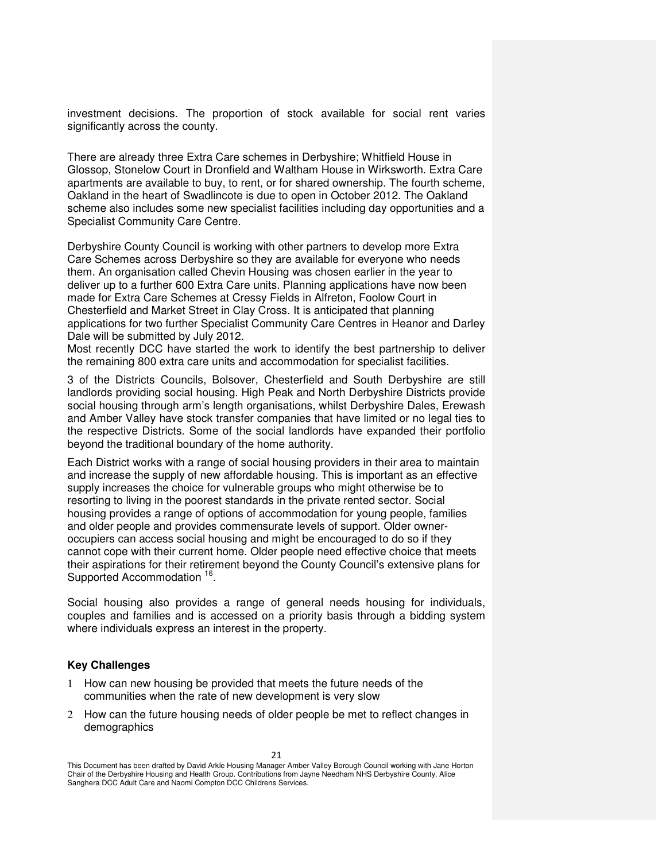investment decisions. The proportion of stock available for social rent varies significantly across the county.

There are already three Extra Care schemes in Derbyshire; Whitfield House in Glossop, Stonelow Court in Dronfield and Waltham House in Wirksworth. Extra Care apartments are available to buy, to rent, or for shared ownership. The fourth scheme, Oakland in the heart of Swadlincote is due to open in October 2012. The Oakland scheme also includes some new specialist facilities including day opportunities and a Specialist Community Care Centre.

Derbyshire County Council is working with other partners to develop more Extra Care Schemes across Derbyshire so they are available for everyone who needs them. An organisation called Chevin Housing was chosen earlier in the year to deliver up to a further 600 Extra Care units. Planning applications have now been made for Extra Care Schemes at Cressy Fields in Alfreton, Foolow Court in Chesterfield and Market Street in Clay Cross. It is anticipated that planning applications for two further Specialist Community Care Centres in Heanor and Darley Dale will be submitted by July 2012.

Most recently DCC have started the work to identify the best partnership to deliver the remaining 800 extra care units and accommodation for specialist facilities.

3 of the Districts Councils, Bolsover, Chesterfield and South Derbyshire are still landlords providing social housing. High Peak and North Derbyshire Districts provide social housing through arm's length organisations, whilst Derbyshire Dales, Erewash and Amber Valley have stock transfer companies that have limited or no legal ties to the respective Districts. Some of the social landlords have expanded their portfolio beyond the traditional boundary of the home authority.

Each District works with a range of social housing providers in their area to maintain and increase the supply of new affordable housing. This is important as an effective supply increases the choice for vulnerable groups who might otherwise be to resorting to living in the poorest standards in the private rented sector. Social housing provides a range of options of accommodation for young people, families and older people and provides commensurate levels of support. Older owneroccupiers can access social housing and might be encouraged to do so if they cannot cope with their current home. Older people need effective choice that meets their aspirations for their retirement beyond the County Council's extensive plans for Supported Accommodation<sup>16</sup>.

Social housing also provides a range of general needs housing for individuals, couples and families and is accessed on a priority basis through a bidding system where individuals express an interest in the property.

#### **Key Challenges**

- 1 How can new housing be provided that meets the future needs of the communities when the rate of new development is very slow
- 2 How can the future housing needs of older people be met to reflect changes in demographics

This Document has been drafted by David Arkle Housing Manager Amber Valley Borough Council working with Jane Horton Chair of the Derbyshire Housing and Health Group. Contributions from Jayne Needham NHS Derbyshire County, Alice Sanghera DCC Adult Care and Naomi Compton DCC Childrens Services.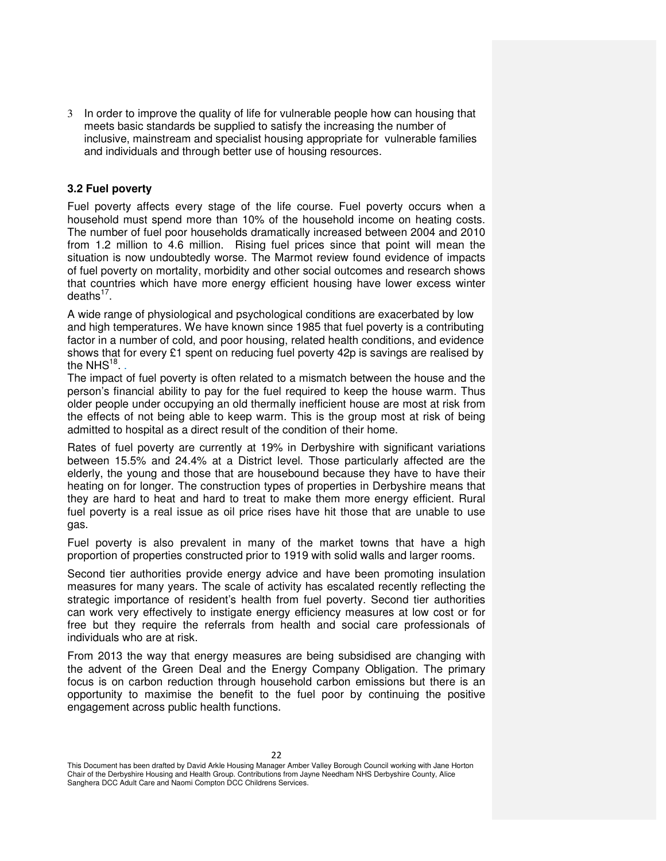3 In order to improve the quality of life for vulnerable people how can housing that meets basic standards be supplied to satisfy the increasing the number of inclusive, mainstream and specialist housing appropriate for vulnerable families and individuals and through better use of housing resources.

#### **3.2 Fuel poverty**

Fuel poverty affects every stage of the life course. Fuel poverty occurs when a household must spend more than 10% of the household income on heating costs. The number of fuel poor households dramatically increased between 2004 and 2010 from 1.2 million to 4.6 million. Rising fuel prices since that point will mean the situation is now undoubtedly worse. The Marmot review found evidence of impacts of fuel poverty on mortality, morbidity and other social outcomes and research shows that countries which have more energy efficient housing have lower excess winter deaths $^{17}$ .

A wide range of physiological and psychological conditions are exacerbated by low and high temperatures. We have known since 1985 that fuel poverty is a contributing factor in a number of cold, and poor housing, related health conditions, and evidence shows that for every £1 spent on reducing fuel poverty 42p is savings are realised by the NHS $^{18}$ . .

The impact of fuel poverty is often related to a mismatch between the house and the person's financial ability to pay for the fuel required to keep the house warm. Thus older people under occupying an old thermally inefficient house are most at risk from the effects of not being able to keep warm. This is the group most at risk of being admitted to hospital as a direct result of the condition of their home.

Rates of fuel poverty are currently at 19% in Derbyshire with significant variations between 15.5% and 24.4% at a District level. Those particularly affected are the elderly, the young and those that are housebound because they have to have their heating on for longer. The construction types of properties in Derbyshire means that they are hard to heat and hard to treat to make them more energy efficient. Rural fuel poverty is a real issue as oil price rises have hit those that are unable to use gas.

Fuel poverty is also prevalent in many of the market towns that have a high proportion of properties constructed prior to 1919 with solid walls and larger rooms.

Second tier authorities provide energy advice and have been promoting insulation measures for many years. The scale of activity has escalated recently reflecting the strategic importance of resident's health from fuel poverty. Second tier authorities can work very effectively to instigate energy efficiency measures at low cost or for free but they require the referrals from health and social care professionals of individuals who are at risk.

From 2013 the way that energy measures are being subsidised are changing with the advent of the Green Deal and the Energy Company Obligation. The primary focus is on carbon reduction through household carbon emissions but there is an opportunity to maximise the benefit to the fuel poor by continuing the positive engagement across public health functions.

This Document has been drafted by David Arkle Housing Manager Amber Valley Borough Council working with Jane Horton Chair of the Derbyshire Housing and Health Group. Contributions from Jayne Needham NHS Derbyshire County, Alice Sanghera DCC Adult Care and Naomi Compton DCC Childrens Services.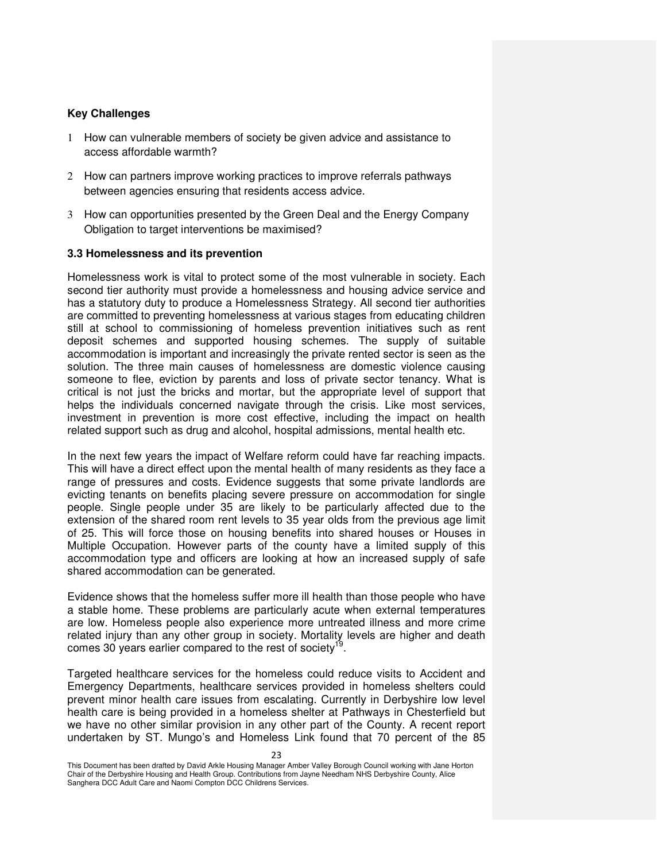### **Key Challenges**

- 1 How can vulnerable members of society be given advice and assistance to access affordable warmth?
- 2 How can partners improve working practices to improve referrals pathways between agencies ensuring that residents access advice.
- 3 How can opportunities presented by the Green Deal and the Energy Company Obligation to target interventions be maximised?

#### **3.3 Homelessness and its prevention**

Homelessness work is vital to protect some of the most vulnerable in society. Each second tier authority must provide a homelessness and housing advice service and has a statutory duty to produce a Homelessness Strategy. All second tier authorities are committed to preventing homelessness at various stages from educating children still at school to commissioning of homeless prevention initiatives such as rent deposit schemes and supported housing schemes. The supply of suitable accommodation is important and increasingly the private rented sector is seen as the solution. The three main causes of homelessness are domestic violence causing someone to flee, eviction by parents and loss of private sector tenancy. What is critical is not just the bricks and mortar, but the appropriate level of support that helps the individuals concerned navigate through the crisis. Like most services, investment in prevention is more cost effective, including the impact on health related support such as drug and alcohol, hospital admissions, mental health etc.

In the next few years the impact of Welfare reform could have far reaching impacts. This will have a direct effect upon the mental health of many residents as they face a range of pressures and costs. Evidence suggests that some private landlords are evicting tenants on benefits placing severe pressure on accommodation for single people. Single people under 35 are likely to be particularly affected due to the extension of the shared room rent levels to 35 year olds from the previous age limit of 25. This will force those on housing benefits into shared houses or Houses in Multiple Occupation. However parts of the county have a limited supply of this accommodation type and officers are looking at how an increased supply of safe shared accommodation can be generated.

Evidence shows that the homeless suffer more ill health than those people who have a stable home. These problems are particularly acute when external temperatures are low. Homeless people also experience more untreated illness and more crime related injury than any other group in society. Mortality levels are higher and death comes 30 years earlier compared to the rest of society<sup>19</sup>.

Targeted healthcare services for the homeless could reduce visits to Accident and Emergency Departments, healthcare services provided in homeless shelters could prevent minor health care issues from escalating. Currently in Derbyshire low level health care is being provided in a homeless shelter at Pathways in Chesterfield but we have no other similar provision in any other part of the County. A recent report undertaken by ST. Mungo's and Homeless Link found that 70 percent of the 85

This Document has been drafted by David Arkle Housing Manager Amber Valley Borough Council working with Jane Horton Chair of the Derbyshire Housing and Health Group. Contributions from Jayne Needham NHS Derbyshire County, Alice Sanghera DCC Adult Care and Naomi Compton DCC Childrens Services.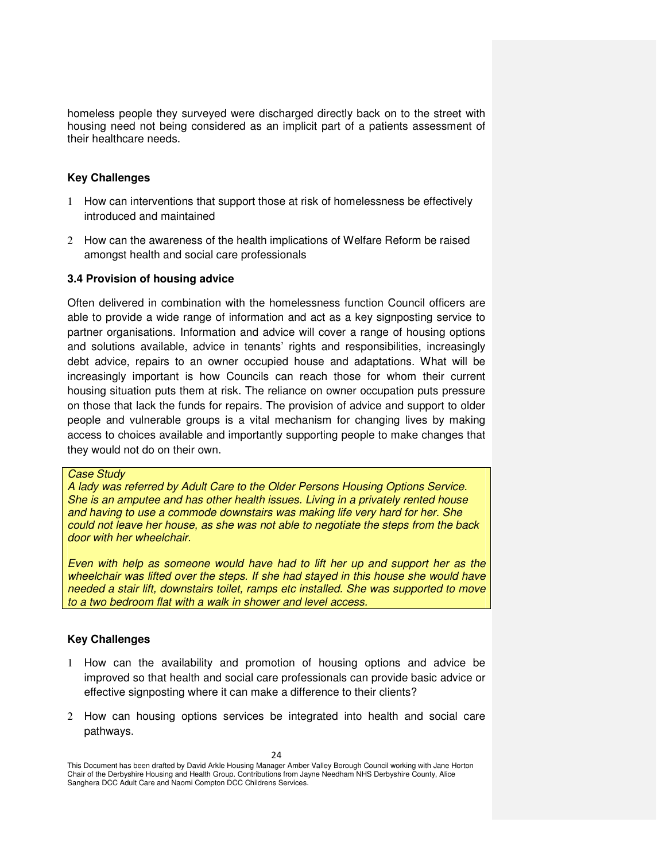homeless people they surveyed were discharged directly back on to the street with housing need not being considered as an implicit part of a patients assessment of their healthcare needs.

#### **Key Challenges**

- 1 How can interventions that support those at risk of homelessness be effectively introduced and maintained
- 2 How can the awareness of the health implications of Welfare Reform be raised amongst health and social care professionals

### **3.4 Provision of housing advice**

Often delivered in combination with the homelessness function Council officers are able to provide a wide range of information and act as a key signposting service to partner organisations. Information and advice will cover a range of housing options and solutions available, advice in tenants' rights and responsibilities, increasingly debt advice, repairs to an owner occupied house and adaptations. What will be increasingly important is how Councils can reach those for whom their current housing situation puts them at risk. The reliance on owner occupation puts pressure on those that lack the funds for repairs. The provision of advice and support to older people and vulnerable groups is a vital mechanism for changing lives by making access to choices available and importantly supporting people to make changes that they would not do on their own.

#### Case Study

A lady was referred by Adult Care to the Older Persons Housing Options Service. She is an amputee and has other health issues. Living in a privately rented house and having to use a commode downstairs was making life very hard for her. She could not leave her house, as she was not able to negotiate the steps from the back door with her wheelchair.

Even with help as someone would have had to lift her up and support her as the wheelchair was lifted over the steps. If she had stayed in this house she would have needed a stair lift, downstairs toilet, ramps etc installed. She was supported to move to a two bedroom flat with a walk in shower and level access.

## **Key Challenges**

- 1 How can the availability and promotion of housing options and advice be improved so that health and social care professionals can provide basic advice or effective signposting where it can make a difference to their clients?
- 2 How can housing options services be integrated into health and social care pathways.

This Document has been drafted by David Arkle Housing Manager Amber Valley Borough Council working with Jane Horton Chair of the Derbyshire Housing and Health Group. Contributions from Jayne Needham NHS Derbyshire County, Alice Sanghera DCC Adult Care and Naomi Compton DCC Childrens Services.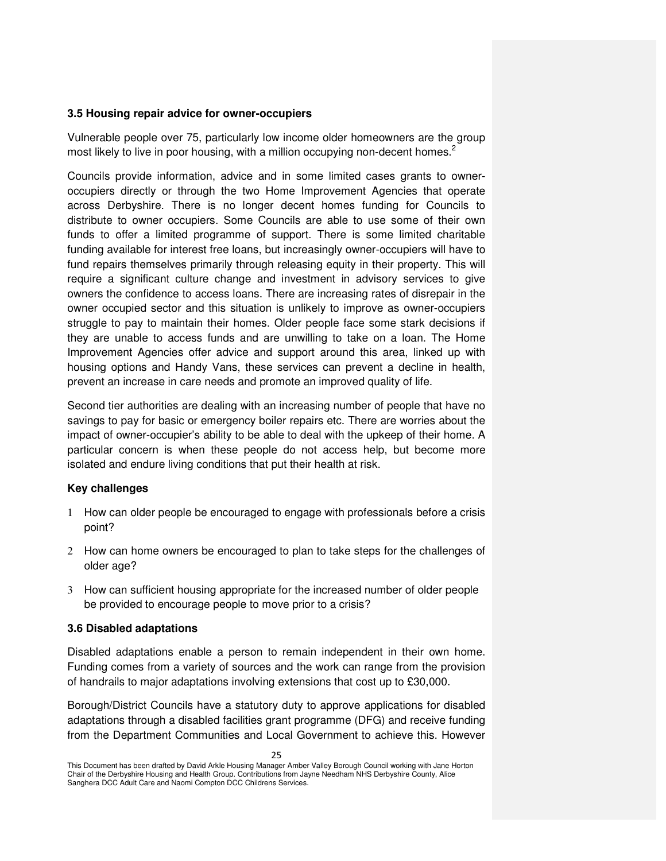#### **3.5 Housing repair advice for owner-occupiers**

Vulnerable people over 75, particularly low income older homeowners are the group most likely to live in poor housing, with a million occupying non-decent homes.<sup>2</sup>

Councils provide information, advice and in some limited cases grants to owneroccupiers directly or through the two Home Improvement Agencies that operate across Derbyshire. There is no longer decent homes funding for Councils to distribute to owner occupiers. Some Councils are able to use some of their own funds to offer a limited programme of support. There is some limited charitable funding available for interest free loans, but increasingly owner-occupiers will have to fund repairs themselves primarily through releasing equity in their property. This will require a significant culture change and investment in advisory services to give owners the confidence to access loans. There are increasing rates of disrepair in the owner occupied sector and this situation is unlikely to improve as owner-occupiers struggle to pay to maintain their homes. Older people face some stark decisions if they are unable to access funds and are unwilling to take on a loan. The Home Improvement Agencies offer advice and support around this area, linked up with housing options and Handy Vans, these services can prevent a decline in health, prevent an increase in care needs and promote an improved quality of life.

Second tier authorities are dealing with an increasing number of people that have no savings to pay for basic or emergency boiler repairs etc. There are worries about the impact of owner-occupier's ability to be able to deal with the upkeep of their home. A particular concern is when these people do not access help, but become more isolated and endure living conditions that put their health at risk.

## **Key challenges**

- 1 How can older people be encouraged to engage with professionals before a crisis point?
- 2 How can home owners be encouraged to plan to take steps for the challenges of older age?
- 3 How can sufficient housing appropriate for the increased number of older people be provided to encourage people to move prior to a crisis?

## **3.6 Disabled adaptations**

Disabled adaptations enable a person to remain independent in their own home. Funding comes from a variety of sources and the work can range from the provision of handrails to major adaptations involving extensions that cost up to £30,000.

Borough/District Councils have a statutory duty to approve applications for disabled adaptations through a disabled facilities grant programme (DFG) and receive funding from the Department Communities and Local Government to achieve this. However

This Document has been drafted by David Arkle Housing Manager Amber Valley Borough Council working with Jane Horton Chair of the Derbyshire Housing and Health Group. Contributions from Jayne Needham NHS Derbyshire County, Alice Sanghera DCC Adult Care and Naomi Compton DCC Childrens Services.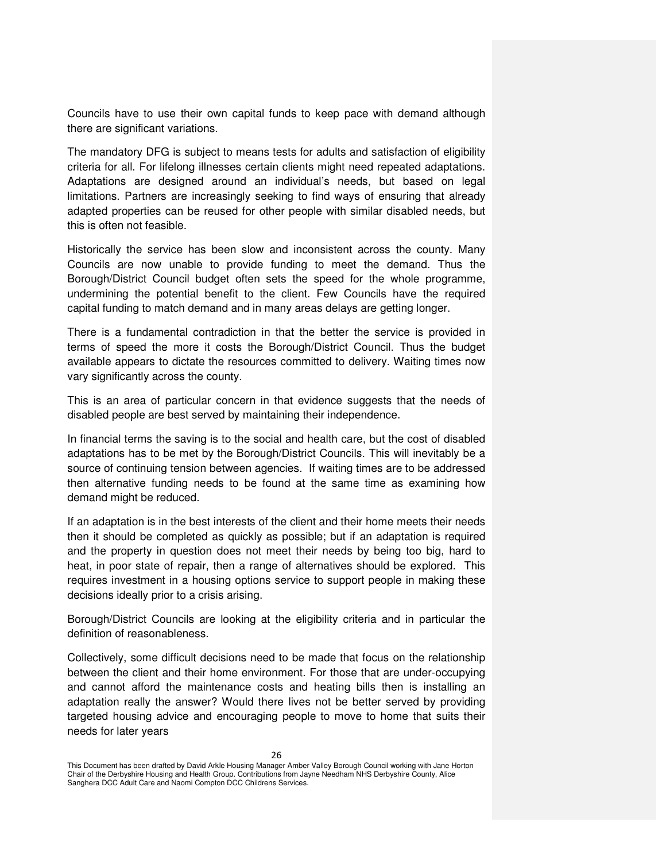Councils have to use their own capital funds to keep pace with demand although there are significant variations.

The mandatory DFG is subject to means tests for adults and satisfaction of eligibility criteria for all. For lifelong illnesses certain clients might need repeated adaptations. Adaptations are designed around an individual's needs, but based on legal limitations. Partners are increasingly seeking to find ways of ensuring that already adapted properties can be reused for other people with similar disabled needs, but this is often not feasible.

Historically the service has been slow and inconsistent across the county. Many Councils are now unable to provide funding to meet the demand. Thus the Borough/District Council budget often sets the speed for the whole programme, undermining the potential benefit to the client. Few Councils have the required capital funding to match demand and in many areas delays are getting longer.

There is a fundamental contradiction in that the better the service is provided in terms of speed the more it costs the Borough/District Council. Thus the budget available appears to dictate the resources committed to delivery. Waiting times now vary significantly across the county.

This is an area of particular concern in that evidence suggests that the needs of disabled people are best served by maintaining their independence.

In financial terms the saving is to the social and health care, but the cost of disabled adaptations has to be met by the Borough/District Councils. This will inevitably be a source of continuing tension between agencies. If waiting times are to be addressed then alternative funding needs to be found at the same time as examining how demand might be reduced.

If an adaptation is in the best interests of the client and their home meets their needs then it should be completed as quickly as possible; but if an adaptation is required and the property in question does not meet their needs by being too big, hard to heat, in poor state of repair, then a range of alternatives should be explored. This requires investment in a housing options service to support people in making these decisions ideally prior to a crisis arising.

Borough/District Councils are looking at the eligibility criteria and in particular the definition of reasonableness.

Collectively, some difficult decisions need to be made that focus on the relationship between the client and their home environment. For those that are under-occupying and cannot afford the maintenance costs and heating bills then is installing an adaptation really the answer? Would there lives not be better served by providing targeted housing advice and encouraging people to move to home that suits their needs for later years

This Document has been drafted by David Arkle Housing Manager Amber Valley Borough Council working with Jane Horton Chair of the Derbyshire Housing and Health Group. Contributions from Jayne Needham NHS Derbyshire County, Alice Sanghera DCC Adult Care and Naomi Compton DCC Childrens Services.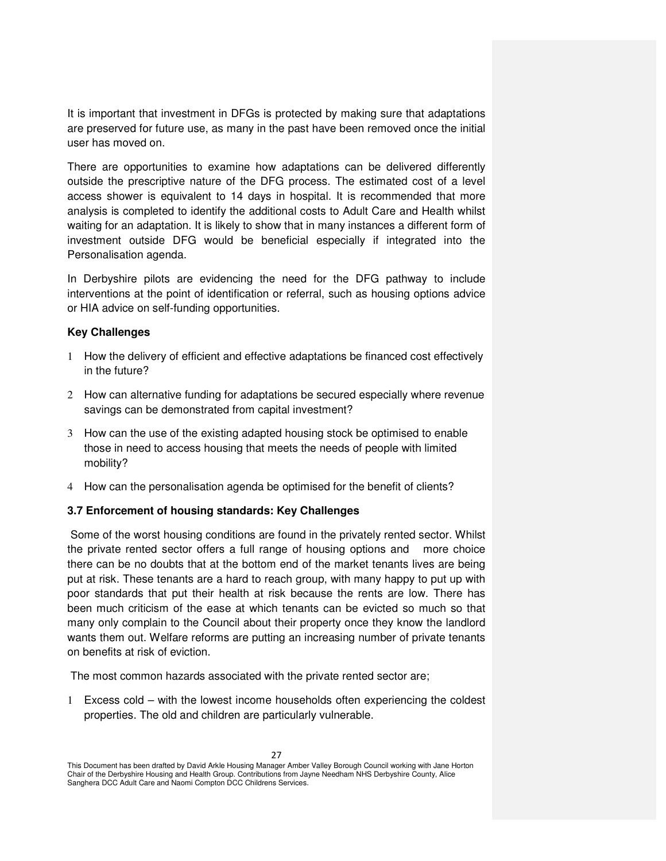It is important that investment in DFGs is protected by making sure that adaptations are preserved for future use, as many in the past have been removed once the initial user has moved on.

There are opportunities to examine how adaptations can be delivered differently outside the prescriptive nature of the DFG process. The estimated cost of a level access shower is equivalent to 14 days in hospital. It is recommended that more analysis is completed to identify the additional costs to Adult Care and Health whilst waiting for an adaptation. It is likely to show that in many instances a different form of investment outside DFG would be beneficial especially if integrated into the Personalisation agenda.

In Derbyshire pilots are evidencing the need for the DFG pathway to include interventions at the point of identification or referral, such as housing options advice or HIA advice on self-funding opportunities.

### **Key Challenges**

- 1 How the delivery of efficient and effective adaptations be financed cost effectively in the future?
- 2 How can alternative funding for adaptations be secured especially where revenue savings can be demonstrated from capital investment?
- 3 How can the use of the existing adapted housing stock be optimised to enable those in need to access housing that meets the needs of people with limited mobility?
- 4 How can the personalisation agenda be optimised for the benefit of clients?

## **3.7 Enforcement of housing standards: Key Challenges**

Some of the worst housing conditions are found in the privately rented sector. Whilst the private rented sector offers a full range of housing options and more choice there can be no doubts that at the bottom end of the market tenants lives are being put at risk. These tenants are a hard to reach group, with many happy to put up with poor standards that put their health at risk because the rents are low. There has been much criticism of the ease at which tenants can be evicted so much so that many only complain to the Council about their property once they know the landlord wants them out. Welfare reforms are putting an increasing number of private tenants on benefits at risk of eviction.

The most common hazards associated with the private rented sector are;

1 Excess cold – with the lowest income households often experiencing the coldest properties. The old and children are particularly vulnerable.

This Document has been drafted by David Arkle Housing Manager Amber Valley Borough Council working with Jane Horton Chair of the Derbyshire Housing and Health Group. Contributions from Jayne Needham NHS Derbyshire County, Alice Sanghera DCC Adult Care and Naomi Compton DCC Childrens Services.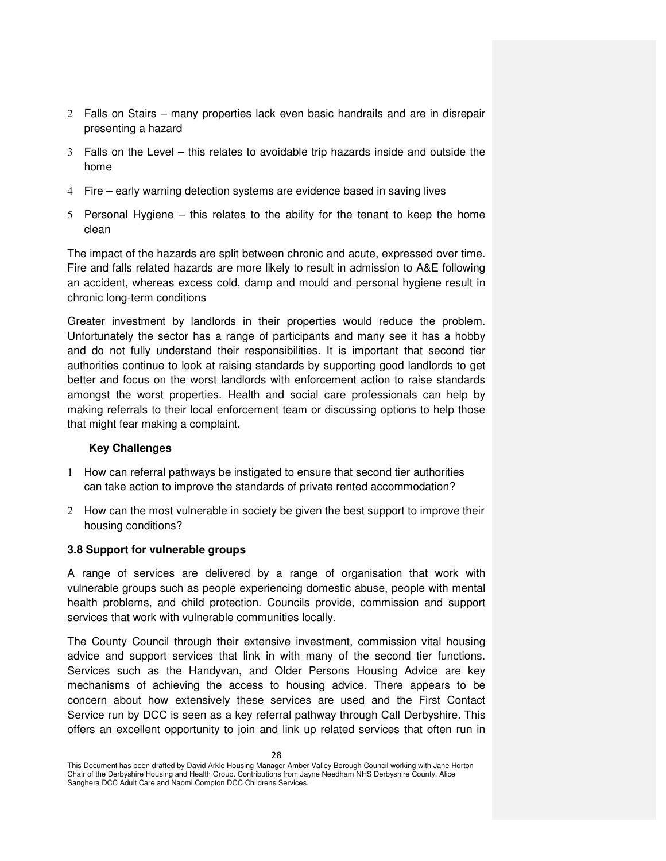- 2 Falls on Stairs many properties lack even basic handrails and are in disrepair presenting a hazard
- 3 Falls on the Level this relates to avoidable trip hazards inside and outside the home
- 4 Fire early warning detection systems are evidence based in saving lives
- 5 Personal Hygiene this relates to the ability for the tenant to keep the home clean

The impact of the hazards are split between chronic and acute, expressed over time. Fire and falls related hazards are more likely to result in admission to A&E following an accident, whereas excess cold, damp and mould and personal hygiene result in chronic long-term conditions

Greater investment by landlords in their properties would reduce the problem. Unfortunately the sector has a range of participants and many see it has a hobby and do not fully understand their responsibilities. It is important that second tier authorities continue to look at raising standards by supporting good landlords to get better and focus on the worst landlords with enforcement action to raise standards amongst the worst properties. Health and social care professionals can help by making referrals to their local enforcement team or discussing options to help those that might fear making a complaint.

#### **Key Challenges**

- 1 How can referral pathways be instigated to ensure that second tier authorities can take action to improve the standards of private rented accommodation?
- 2 How can the most vulnerable in society be given the best support to improve their housing conditions?

#### **3.8 Support for vulnerable groups**

A range of services are delivered by a range of organisation that work with vulnerable groups such as people experiencing domestic abuse, people with mental health problems, and child protection. Councils provide, commission and support services that work with vulnerable communities locally.

The County Council through their extensive investment, commission vital housing advice and support services that link in with many of the second tier functions. Services such as the Handyvan, and Older Persons Housing Advice are key mechanisms of achieving the access to housing advice. There appears to be concern about how extensively these services are used and the First Contact Service run by DCC is seen as a key referral pathway through Call Derbyshire. This offers an excellent opportunity to join and link up related services that often run in

This Document has been drafted by David Arkle Housing Manager Amber Valley Borough Council working with Jane Horton Chair of the Derbyshire Housing and Health Group. Contributions from Jayne Needham NHS Derbyshire County, Alice Sanghera DCC Adult Care and Naomi Compton DCC Childrens Services.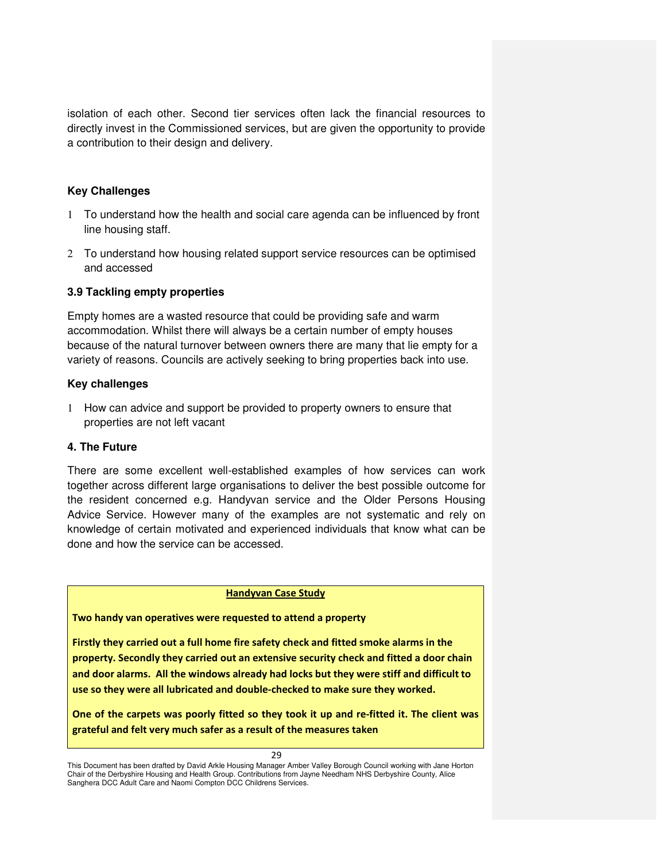isolation of each other. Second tier services often lack the financial resources to directly invest in the Commissioned services, but are given the opportunity to provide a contribution to their design and delivery.

## **Key Challenges**

- 1 To understand how the health and social care agenda can be influenced by front line housing staff.
- 2 To understand how housing related support service resources can be optimised and accessed

### **3.9 Tackling empty properties**

Empty homes are a wasted resource that could be providing safe and warm accommodation. Whilst there will always be a certain number of empty houses because of the natural turnover between owners there are many that lie empty for a variety of reasons. Councils are actively seeking to bring properties back into use.

### **Key challenges**

1 How can advice and support be provided to property owners to ensure that properties are not left vacant

#### **4. The Future**

There are some excellent well-established examples of how services can work together across different large organisations to deliver the best possible outcome for the resident concerned e.g. Handyvan service and the Older Persons Housing Advice Service. However many of the examples are not systematic and rely on knowledge of certain motivated and experienced individuals that know what can be done and how the service can be accessed.

#### **Handyvan Case Study**

**Two handy van operatives were requested to attend a property** 

**Firstly they carried out a full home fire safety check and fitted smoke alarms in the property. Secondly they carried out an extensive security check and fitted a door chain and door alarms. All the windows already had locks but they were stiff and difficult to use so they were all lubricated and double-checked to make sure they worked.** 

**One of the carpets was poorly fitted so they took it up and re-fitted it. The client was grateful and felt very much safer as a result of the measures taken**

<sup>29</sup>

This Document has been drafted by David Arkle Housing Manager Amber Valley Borough Council working with Jane Horton Chair of the Derbyshire Housing and Health Group. Contributions from Jayne Needham NHS Derbyshire County, Alice Sanghera DCC Adult Care and Naomi Compton DCC Childrens Services.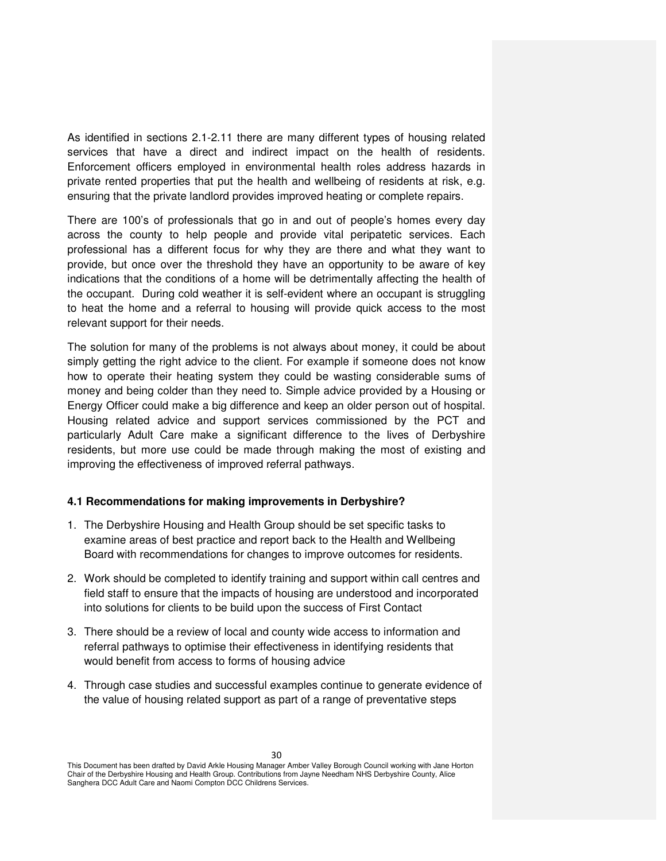As identified in sections 2.1-2.11 there are many different types of housing related services that have a direct and indirect impact on the health of residents. Enforcement officers employed in environmental health roles address hazards in private rented properties that put the health and wellbeing of residents at risk, e.g. ensuring that the private landlord provides improved heating or complete repairs.

There are 100's of professionals that go in and out of people's homes every day across the county to help people and provide vital peripatetic services. Each professional has a different focus for why they are there and what they want to provide, but once over the threshold they have an opportunity to be aware of key indications that the conditions of a home will be detrimentally affecting the health of the occupant. During cold weather it is self-evident where an occupant is struggling to heat the home and a referral to housing will provide quick access to the most relevant support for their needs.

The solution for many of the problems is not always about money, it could be about simply getting the right advice to the client. For example if someone does not know how to operate their heating system they could be wasting considerable sums of money and being colder than they need to. Simple advice provided by a Housing or Energy Officer could make a big difference and keep an older person out of hospital. Housing related advice and support services commissioned by the PCT and particularly Adult Care make a significant difference to the lives of Derbyshire residents, but more use could be made through making the most of existing and improving the effectiveness of improved referral pathways.

#### **4.1 Recommendations for making improvements in Derbyshire?**

- 1. The Derbyshire Housing and Health Group should be set specific tasks to examine areas of best practice and report back to the Health and Wellbeing Board with recommendations for changes to improve outcomes for residents.
- 2. Work should be completed to identify training and support within call centres and field staff to ensure that the impacts of housing are understood and incorporated into solutions for clients to be build upon the success of First Contact
- 3. There should be a review of local and county wide access to information and referral pathways to optimise their effectiveness in identifying residents that would benefit from access to forms of housing advice
- 4. Through case studies and successful examples continue to generate evidence of the value of housing related support as part of a range of preventative steps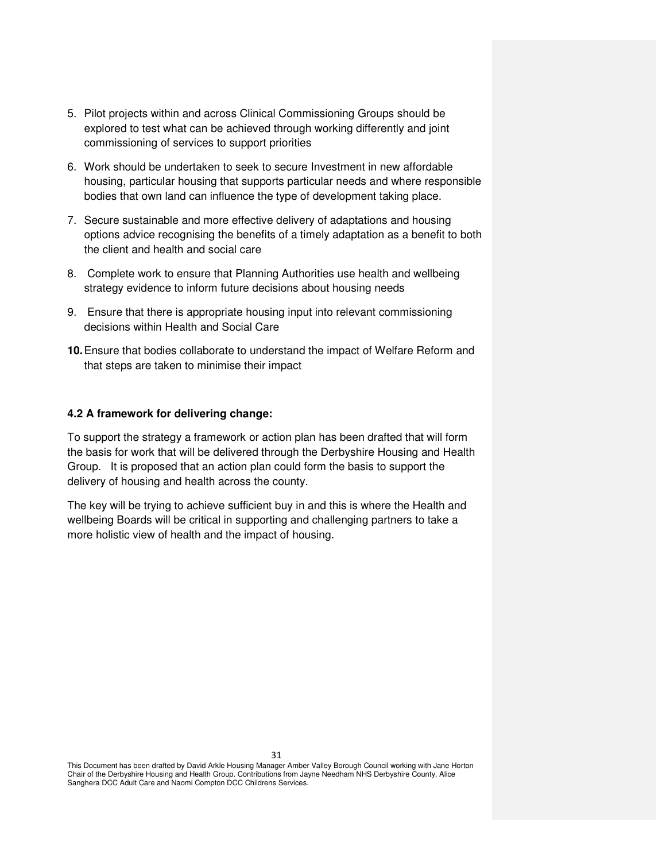- 5. Pilot projects within and across Clinical Commissioning Groups should be explored to test what can be achieved through working differently and joint commissioning of services to support priorities
- 6. Work should be undertaken to seek to secure Investment in new affordable housing, particular housing that supports particular needs and where responsible bodies that own land can influence the type of development taking place.
- 7. Secure sustainable and more effective delivery of adaptations and housing options advice recognising the benefits of a timely adaptation as a benefit to both the client and health and social care
- 8. Complete work to ensure that Planning Authorities use health and wellbeing strategy evidence to inform future decisions about housing needs
- 9. Ensure that there is appropriate housing input into relevant commissioning decisions within Health and Social Care
- **10.** Ensure that bodies collaborate to understand the impact of Welfare Reform and that steps are taken to minimise their impact

### **4.2 A framework for delivering change:**

To support the strategy a framework or action plan has been drafted that will form the basis for work that will be delivered through the Derbyshire Housing and Health Group. It is proposed that an action plan could form the basis to support the delivery of housing and health across the county.

The key will be trying to achieve sufficient buy in and this is where the Health and wellbeing Boards will be critical in supporting and challenging partners to take a more holistic view of health and the impact of housing.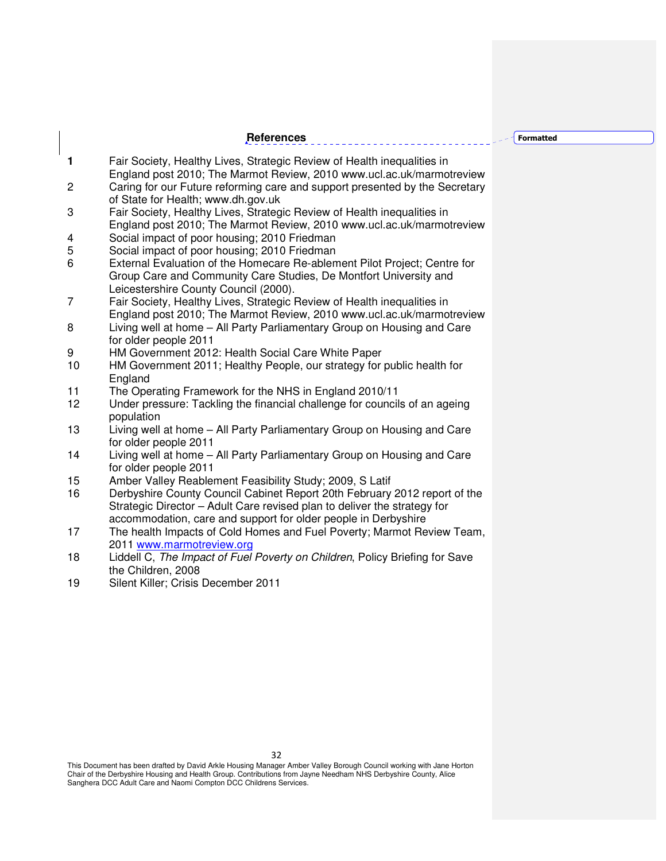**References** 

| Formatted |
|-----------|
|           |

| 1              | Fair Society, Healthy Lives, Strategic Review of Health inequalities in                                                                                                                                                                 |  |
|----------------|-----------------------------------------------------------------------------------------------------------------------------------------------------------------------------------------------------------------------------------------|--|
| 2              | England post 2010; The Marmot Review, 2010 www.ucl.ac.uk/marmotreview<br>Caring for our Future reforming care and support presented by the Secretary                                                                                    |  |
| 3              | of State for Health; www.dh.gov.uk<br>Fair Society, Healthy Lives, Strategic Review of Health inequalities in<br>England post 2010; The Marmot Review, 2010 www.ucl.ac.uk/marmotreview                                                  |  |
| 4<br>5         | Social impact of poor housing; 2010 Friedman                                                                                                                                                                                            |  |
| 6              | Social impact of poor housing; 2010 Friedman<br>External Evaluation of the Homecare Re-ablement Pilot Project; Centre for<br>Group Care and Community Care Studies, De Montfort University and<br>Leicestershire County Council (2000). |  |
| $\overline{7}$ | Fair Society, Healthy Lives, Strategic Review of Health inequalities in<br>England post 2010; The Marmot Review, 2010 www.ucl.ac.uk/marmotreview                                                                                        |  |
| 8              | Living well at home – All Party Parliamentary Group on Housing and Care<br>for older people 2011                                                                                                                                        |  |
| 9<br>10        | HM Government 2012: Health Social Care White Paper<br>HM Government 2011; Healthy People, our strategy for public health for                                                                                                            |  |
|                | England                                                                                                                                                                                                                                 |  |
| 11<br>12       | The Operating Framework for the NHS in England 2010/11<br>Under pressure: Tackling the financial challenge for councils of an ageing<br>population                                                                                      |  |
| 13             | Living well at home - All Party Parliamentary Group on Housing and Care<br>for older people 2011                                                                                                                                        |  |
| 14             | Living well at home - All Party Parliamentary Group on Housing and Care<br>for older people 2011                                                                                                                                        |  |
| 15             | Amber Valley Reablement Feasibility Study; 2009, S Latif                                                                                                                                                                                |  |
| 16             | Derbyshire County Council Cabinet Report 20th February 2012 report of the<br>Strategic Director - Adult Care revised plan to deliver the strategy for<br>accommodation, care and support for older people in Derbyshire                 |  |
| 17             | The health Impacts of Cold Homes and Fuel Poverty; Marmot Review Team,<br>2011 www.marmotreview.org                                                                                                                                     |  |
| 18             | Liddell C, The Impact of Fuel Poverty on Children, Policy Briefing for Save<br>the Children, 2008                                                                                                                                       |  |
| 19             | Silent Killer; Crisis December 2011                                                                                                                                                                                                     |  |
|                |                                                                                                                                                                                                                                         |  |

This Document has been drafted by David Arkle Housing Manager Amber Valley Borough Council working with Jane Horton<br>Chair of the Derbyshire Housing and Health Group. Contributions from Jayne Needham NHS Derbyshire County,